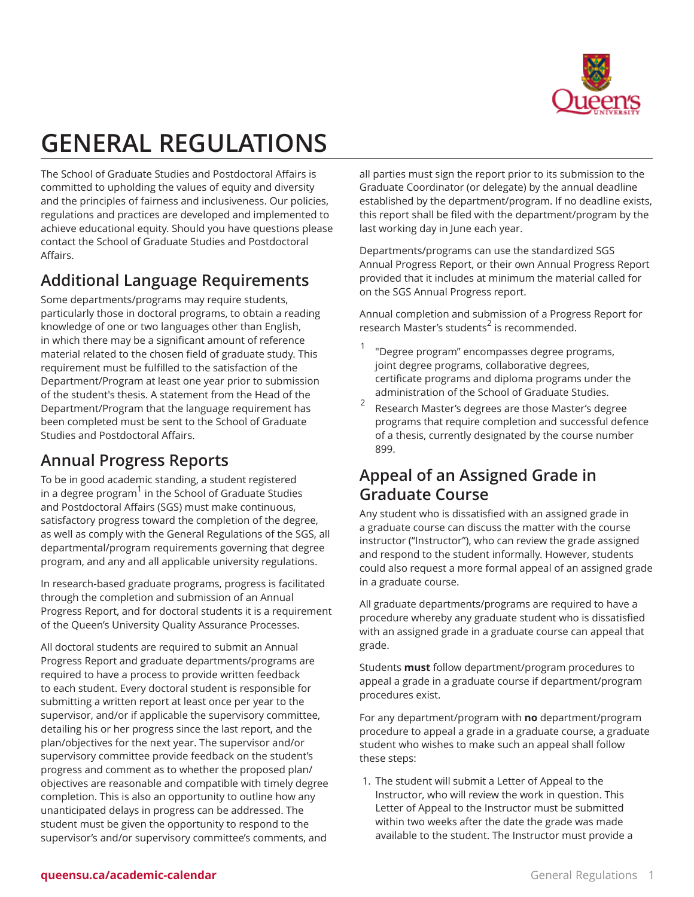

# **GENERAL REGULATIONS**

The School of Graduate Studies and Postdoctoral Affairs is committed to upholding the values of equity and diversity and the principles of fairness and inclusiveness. Our policies, regulations and practices are developed and implemented to achieve educational equity. Should you have questions please contact the School of Graduate Studies and Postdoctoral Affairs.

# **Additional Language Requirements**

Some departments/programs may require students, particularly those in doctoral programs, to obtain a reading knowledge of one or two languages other than English, in which there may be a significant amount of reference material related to the chosen field of graduate study. This requirement must be fulfilled to the satisfaction of the Department/Program at least one year prior to submission of the student's thesis. A statement from the Head of the Department/Program that the language requirement has been completed must be sent to the School of Graduate Studies and Postdoctoral Affairs.

# **Annual Progress Reports**

To be in good academic standing, a student registered in a degree program<sup>1</sup> in the School of Graduate Studies and Postdoctoral Affairs (SGS) must make continuous, satisfactory progress toward the completion of the degree, as well as comply with the General Regulations of the SGS, all departmental/program requirements governing that degree program, and any and all applicable university regulations.

In research-based graduate programs, progress is facilitated through the completion and submission of an Annual Progress Report, and for doctoral students it is a requirement of the Queen's University Quality Assurance Processes.

All doctoral students are required to submit an Annual Progress Report and graduate departments/programs are required to have a process to provide written feedback to each student. Every doctoral student is responsible for submitting a written report at least once per year to the supervisor, and/or if applicable the supervisory committee, detailing his or her progress since the last report, and the plan/objectives for the next year. The supervisor and/or supervisory committee provide feedback on the student's progress and comment as to whether the proposed plan/ objectives are reasonable and compatible with timely degree completion. This is also an opportunity to outline how any unanticipated delays in progress can be addressed. The student must be given the opportunity to respond to the supervisor's and/or supervisory committee's comments, and

all parties must sign the report prior to its submission to the Graduate Coordinator (or delegate) by the annual deadline established by the department/program. If no deadline exists, this report shall be filed with the department/program by the last working day in June each year.

Departments/programs can use the standardized SGS Annual Progress Report, or their own Annual Progress Report provided that it includes at minimum the material called for on the SGS Annual Progress report.

Annual completion and submission of a Progress Report for research Master's students 2 is recommended.

- 1 "Degree program" encompasses degree programs, joint degree programs, collaborative degrees, certificate programs and diploma programs under the administration of the School of Graduate Studies.
- 2 Research Master's degrees are those Master's degree programs that require completion and successful defence of a thesis, currently designated by the course number 899.

# **Appeal of an Assigned Grade in Graduate Course**

Any student who is dissatisfied with an assigned grade in a graduate course can discuss the matter with the course instructor ("Instructor"), who can review the grade assigned and respond to the student informally. However, students could also request a more formal appeal of an assigned grade in a graduate course.

All graduate departments/programs are required to have a procedure whereby any graduate student who is dissatisfied with an assigned grade in a graduate course can appeal that grade.

Students **must** follow department/program procedures to appeal a grade in a graduate course if department/program procedures exist.

For any department/program with **no** department/program procedure to appeal a grade in a graduate course, a graduate student who wishes to make such an appeal shall follow these steps:

1. The student will submit a Letter of Appeal to the Instructor, who will review the work in question. This Letter of Appeal to the Instructor must be submitted within two weeks after the date the grade was made available to the student. The Instructor must provide a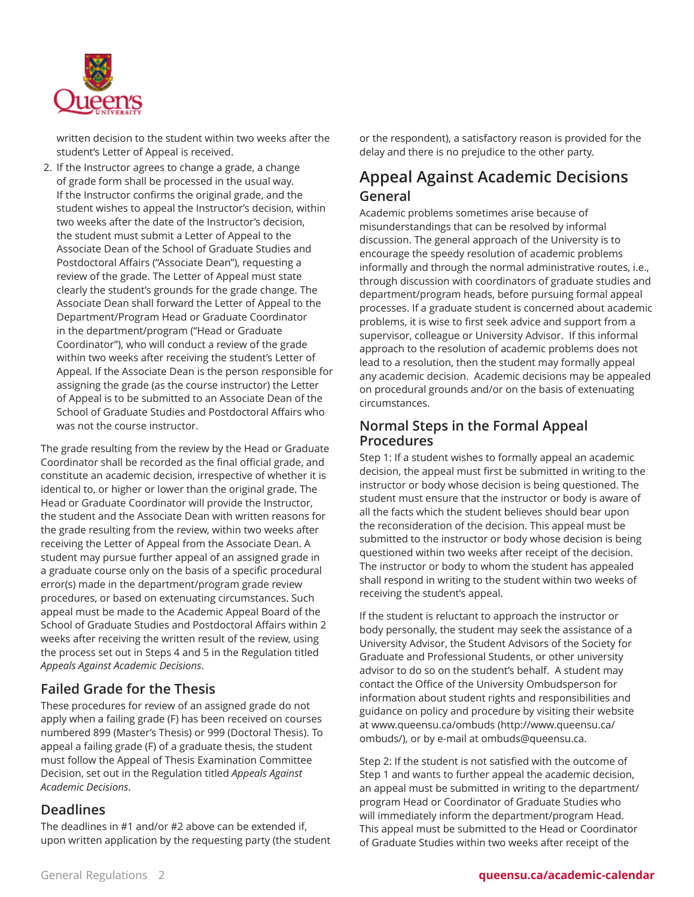

written decision to the student within two weeks after the student's Letter of Appeal is received.

2. If the Instructor agrees to change a grade, a change of grade form shall be processed in the usual way. If the Instructor confirms the original grade, and the student wishes to appeal the Instructor's decision, within two weeks after the date of the Instructor's decision, the student must submit a Letter of Appeal to the Associate Dean of the School of Graduate Studies and Postdoctoral Affairs ("Associate Dean"), requesting a review of the grade. The Letter of Appeal must state clearly the student's grounds for the grade change. The Associate Dean shall forward the Letter of Appeal to the Department/Program Head or Graduate Coordinator in the department/program ("Head or Graduate Coordinator"), who will conduct a review of the grade within two weeks after receiving the student's Letter of Appeal. If the Associate Dean is the person responsible for assigning the grade (as the course instructor) the Letter of Appeal is to be submitted to an Associate Dean of the School of Graduate Studies and Postdoctoral Affairs who was not the course instructor.

The grade resulting from the review by the Head or Graduate Coordinator shall be recorded as the final official grade, and constitute an academic decision, irrespective of whether it is identical to, or higher or lower than the original grade. The Head or Graduate Coordinator will provide the Instructor, the student and the Associate Dean with written reasons for the grade resulting from the review, within two weeks after receiving the Letter of Appeal from the Associate Dean. A student may pursue further appeal of an assigned grade in a graduate course only on the basis of a specific procedural error(s) made in the department/program grade review procedures, or based on extenuating circumstances. Such appeal must be made to the Academic Appeal Board of the School of Graduate Studies and Postdoctoral Affairs within 2 weeks after receiving the written result of the review, using the process set out in Steps 4 and 5 in the Regulation titled *Appeals Against Academic Decisions*.

### **Failed Grade for the Thesis**

These procedures for review of an assigned grade do not apply when a failing grade (F) has been received on courses numbered 899 (Master's Thesis) or 999 (Doctoral Thesis). To appeal a failing grade (F) of a graduate thesis, the student must follow the Appeal of Thesis Examination Committee Decision, set out in the Regulation titled *Appeals Against Academic Decisions*.

### **Deadlines**

The deadlines in #1 and/or #2 above can be extended if, upon written application by the requesting party (the student or the respondent), a satisfactory reason is provided for the delay and there is no prejudice to the other party.

# **Appeal Against Academic Decisions General**

Academic problems sometimes arise because of misunderstandings that can be resolved by informal discussion. The general approach of the University is to encourage the speedy resolution of academic problems informally and through the normal administrative routes, i.e., through discussion with coordinators of graduate studies and department/program heads, before pursuing formal appeal processes. If a graduate student is concerned about academic problems, it is wise to first seek advice and support from a supervisor, colleague or University Advisor. If this informal approach to the resolution of academic problems does not lead to a resolution, then the student may formally appeal any academic decision. Academic decisions may be appealed on procedural grounds and/or on the basis of extenuating circumstances.

### **Normal Steps in the Formal Appeal Procedures**

Step 1: If a student wishes to formally appeal an academic decision, the appeal must first be submitted in writing to the instructor or body whose decision is being questioned. The student must ensure that the instructor or body is aware of all the facts which the student believes should bear upon the reconsideration of the decision. This appeal must be submitted to the instructor or body whose decision is being questioned within two weeks after receipt of the decision. The instructor or body to whom the student has appealed shall respond in writing to the student within two weeks of receiving the student's appeal.

If the student is reluctant to approach the instructor or body personally, the student may seek the assistance of a University Advisor, the Student Advisors of the Society for Graduate and Professional Students, or other university advisor to do so on the student's behalf. A student may contact the Office of the University Ombudsperson for information about student rights and responsibilities and guidance on policy and procedure by visiting their website at [www.queensu.ca/ombuds](http://www.queensu.ca/ombuds/) ([http://www.queensu.ca/](http://www.queensu.ca/ombuds/) [ombuds/](http://www.queensu.ca/ombuds/)), or by e-mail at [ombuds@queensu.ca.](mailto:ombuds@queensu.ca)

Step 2: If the student is not satisfied with the outcome of Step 1 and wants to further appeal the academic decision, an appeal must be submitted in writing to the department/ program Head or Coordinator of Graduate Studies who will immediately inform the department/program Head. This appeal must be submitted to the Head or Coordinator of Graduate Studies within two weeks after receipt of the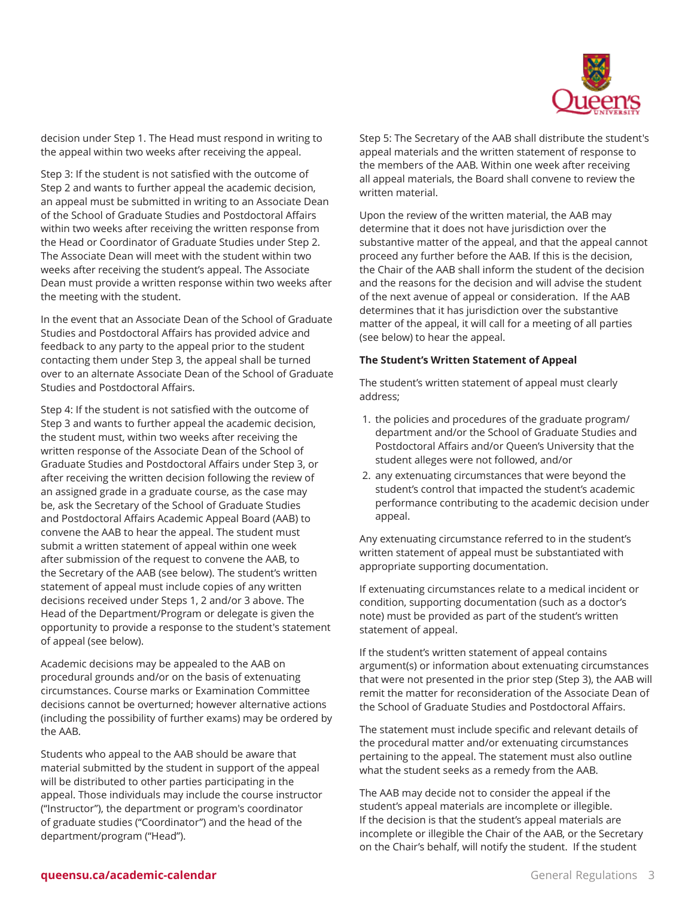

decision under Step 1. The Head must respond in writing to the appeal within two weeks after receiving the appeal.

Step 3: If the student is not satisfied with the outcome of Step 2 and wants to further appeal the academic decision, an appeal must be submitted in writing to an Associate Dean of the School of Graduate Studies and Postdoctoral Affairs within two weeks after receiving the written response from the Head or Coordinator of Graduate Studies under Step 2. The Associate Dean will meet with the student within two weeks after receiving the student's appeal. The Associate Dean must provide a written response within two weeks after the meeting with the student.

In the event that an Associate Dean of the School of Graduate Studies and Postdoctoral Affairs has provided advice and feedback to any party to the appeal prior to the student contacting them under Step 3, the appeal shall be turned over to an alternate Associate Dean of the School of Graduate Studies and Postdoctoral Affairs.

Step 4: If the student is not satisfied with the outcome of Step 3 and wants to further appeal the academic decision, the student must, within two weeks after receiving the written response of the Associate Dean of the School of Graduate Studies and Postdoctoral Affairs under Step 3, or after receiving the written decision following the review of an assigned grade in a graduate course, as the case may be, ask the Secretary of the School of Graduate Studies and Postdoctoral Affairs Academic Appeal Board (AAB) to convene the AAB to hear the appeal. The student must submit a written statement of appeal within one week after submission of the request to convene the AAB, to the Secretary of the AAB (see below). The student's written statement of appeal must include copies of any written decisions received under Steps 1, 2 and/or 3 above. The Head of the Department/Program or delegate is given the opportunity to provide a response to the student's statement of appeal (see below).

Academic decisions may be appealed to the AAB on procedural grounds and/or on the basis of extenuating circumstances. Course marks or Examination Committee decisions cannot be overturned; however alternative actions (including the possibility of further exams) may be ordered by the AAB.

Students who appeal to the AAB should be aware that material submitted by the student in support of the appeal will be distributed to other parties participating in the appeal. Those individuals may include the course instructor ("Instructor"), the department or program's coordinator of graduate studies ("Coordinator") and the head of the department/program ("Head").

Step 5: The Secretary of the AAB shall distribute the student's appeal materials and the written statement of response to the members of the AAB. Within one week after receiving all appeal materials, the Board shall convene to review the written material.

Upon the review of the written material, the AAB may determine that it does not have jurisdiction over the substantive matter of the appeal, and that the appeal cannot proceed any further before the AAB. If this is the decision, the Chair of the AAB shall inform the student of the decision and the reasons for the decision and will advise the student of the next avenue of appeal or consideration. If the AAB determines that it has jurisdiction over the substantive matter of the appeal, it will call for a meeting of all parties (see below) to hear the appeal.

#### **The Student's Written Statement of Appeal**

The student's written statement of appeal must clearly address;

- 1. the policies and procedures of the graduate program/ department and/or the School of Graduate Studies and Postdoctoral Affairs and/or Queen's University that the student alleges were not followed, and/or
- 2. any extenuating circumstances that were beyond the student's control that impacted the student's academic performance contributing to the academic decision under appeal.

Any extenuating circumstance referred to in the student's written statement of appeal must be substantiated with appropriate supporting documentation.

If extenuating circumstances relate to a medical incident or condition, supporting documentation (such as a doctor's note) must be provided as part of the student's written statement of appeal.

If the student's written statement of appeal contains argument(s) or information about extenuating circumstances that were not presented in the prior step (Step 3), the AAB will remit the matter for reconsideration of the Associate Dean of the School of Graduate Studies and Postdoctoral Affairs.

The statement must include specific and relevant details of the procedural matter and/or extenuating circumstances pertaining to the appeal. The statement must also outline what the student seeks as a remedy from the AAB.

The AAB may decide not to consider the appeal if the student's appeal materials are incomplete or illegible. If the decision is that the student's appeal materials are incomplete or illegible the Chair of the AAB, or the Secretary on the Chair's behalf, will notify the student. If the student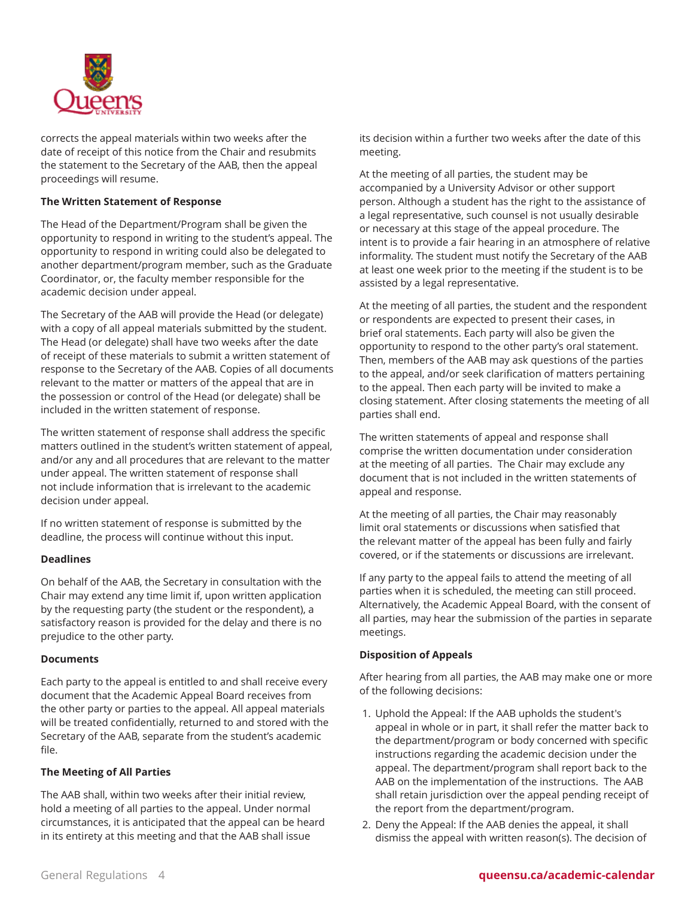

corrects the appeal materials within two weeks after the date of receipt of this notice from the Chair and resubmits the statement to the Secretary of the AAB, then the appeal proceedings will resume.

#### **The Written Statement of Response**

The Head of the Department/Program shall be given the opportunity to respond in writing to the student's appeal. The opportunity to respond in writing could also be delegated to another department/program member, such as the Graduate Coordinator, or, the faculty member responsible for the academic decision under appeal.

The Secretary of the AAB will provide the Head (or delegate) with a copy of all appeal materials submitted by the student. The Head (or delegate) shall have two weeks after the date of receipt of these materials to submit a written statement of response to the Secretary of the AAB. Copies of all documents relevant to the matter or matters of the appeal that are in the possession or control of the Head (or delegate) shall be included in the written statement of response.

The written statement of response shall address the specific matters outlined in the student's written statement of appeal, and/or any and all procedures that are relevant to the matter under appeal. The written statement of response shall not include information that is irrelevant to the academic decision under appeal.

If no written statement of response is submitted by the deadline, the process will continue without this input.

#### **Deadlines**

On behalf of the AAB, the Secretary in consultation with the Chair may extend any time limit if, upon written application by the requesting party (the student or the respondent), a satisfactory reason is provided for the delay and there is no prejudice to the other party.

#### **Documents**

Each party to the appeal is entitled to and shall receive every document that the Academic Appeal Board receives from the other party or parties to the appeal. All appeal materials will be treated confidentially, returned to and stored with the Secretary of the AAB, separate from the student's academic file.

#### **The Meeting of All Parties**

The AAB shall, within two weeks after their initial review, hold a meeting of all parties to the appeal. Under normal circumstances, it is anticipated that the appeal can be heard in its entirety at this meeting and that the AAB shall issue

its decision within a further two weeks after the date of this meeting.

At the meeting of all parties, the student may be accompanied by a University Advisor or other support person. Although a student has the right to the assistance of a legal representative, such counsel is not usually desirable or necessary at this stage of the appeal procedure. The intent is to provide a fair hearing in an atmosphere of relative informality. The student must notify the Secretary of the AAB at least one week prior to the meeting if the student is to be assisted by a legal representative.

At the meeting of all parties, the student and the respondent or respondents are expected to present their cases, in brief oral statements. Each party will also be given the opportunity to respond to the other party's oral statement. Then, members of the AAB may ask questions of the parties to the appeal, and/or seek clarification of matters pertaining to the appeal. Then each party will be invited to make a closing statement. After closing statements the meeting of all parties shall end.

The written statements of appeal and response shall comprise the written documentation under consideration at the meeting of all parties. The Chair may exclude any document that is not included in the written statements of appeal and response.

At the meeting of all parties, the Chair may reasonably limit oral statements or discussions when satisfied that the relevant matter of the appeal has been fully and fairly covered, or if the statements or discussions are irrelevant.

If any party to the appeal fails to attend the meeting of all parties when it is scheduled, the meeting can still proceed. Alternatively, the Academic Appeal Board, with the consent of all parties, may hear the submission of the parties in separate meetings.

#### **Disposition of Appeals**

After hearing from all parties, the AAB may make one or more of the following decisions:

- 1. Uphold the Appeal: If the AAB upholds the student's appeal in whole or in part, it shall refer the matter back to the department/program or body concerned with specific instructions regarding the academic decision under the appeal. The department/program shall report back to the AAB on the implementation of the instructions. The AAB shall retain jurisdiction over the appeal pending receipt of the report from the department/program.
- 2. Deny the Appeal: If the AAB denies the appeal, it shall dismiss the appeal with written reason(s). The decision of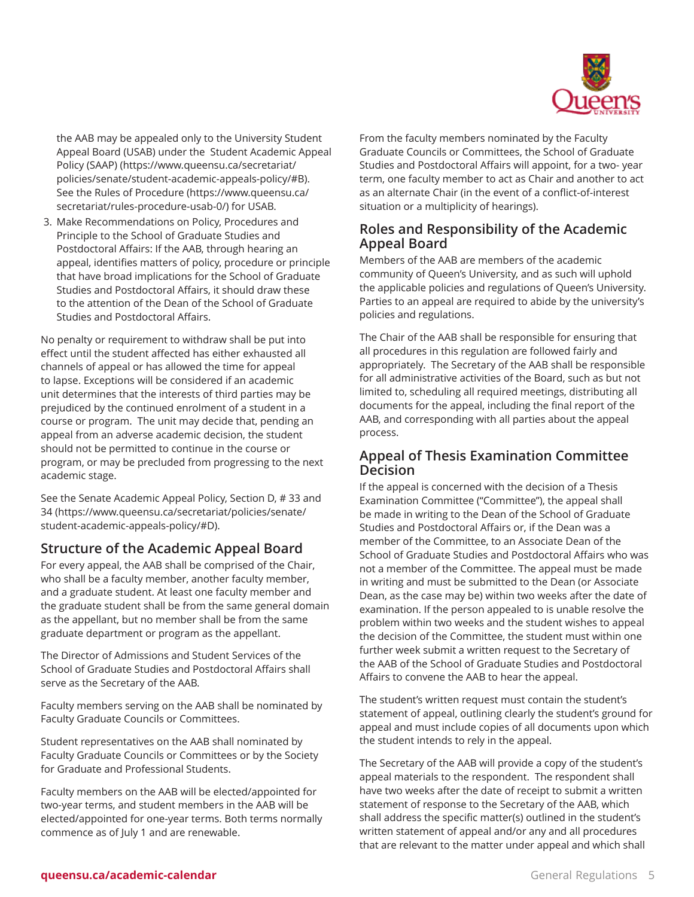

the AAB may be appealed only to the University Student Appeal Board (USAB) under the [Student Academic Appeal](https://www.queensu.ca/secretariat/policies/senate/student-academic-appeals-policy/#B) [Policy \(SAAP\)](https://www.queensu.ca/secretariat/policies/senate/student-academic-appeals-policy/#B) ([https://www.queensu.ca/secretariat/](https://www.queensu.ca/secretariat/policies/senate/student-academic-appeals-policy/#B) [policies/senate/student-academic-appeals-policy/#B\)](https://www.queensu.ca/secretariat/policies/senate/student-academic-appeals-policy/#B). See the Rules of [Procedure \(https://www.queensu.ca/](https://www.queensu.ca/secretariat/rules-procedure-usab-0/) [secretariat/rules-procedure-usab-0/](https://www.queensu.ca/secretariat/rules-procedure-usab-0/)) for USAB.

3. Make Recommendations on Policy, Procedures and Principle to the School of Graduate Studies and Postdoctoral Affairs: If the AAB, through hearing an appeal, identifies matters of policy, procedure or principle that have broad implications for the School of Graduate Studies and Postdoctoral Affairs, it should draw these to the attention of the Dean of the School of Graduate Studies and Postdoctoral Affairs.

No penalty or requirement to withdraw shall be put into effect until the student affected has either exhausted all channels of appeal or has allowed the time for appeal to lapse. Exceptions will be considered if an academic unit determines that the interests of third parties may be prejudiced by the continued enrolment of a student in a course or program. The unit may decide that, pending an appeal from an adverse academic decision, the student should not be permitted to continue in the course or program, or may be precluded from progressing to the next academic stage.

See the Senate [Academic](https://www.queensu.ca/secretariat/policies/senate/student-academic-appeals-policy/#D) Appeal Policy, Section D, # 33 and [34](https://www.queensu.ca/secretariat/policies/senate/student-academic-appeals-policy/#D) [\(https://www.queensu.ca/secretariat/policies/senate/](https://www.queensu.ca/secretariat/policies/senate/student-academic-appeals-policy/#D) [student-academic-appeals-policy/#D](https://www.queensu.ca/secretariat/policies/senate/student-academic-appeals-policy/#D)).

### **Structure of the Academic Appeal Board**

For every appeal, the AAB shall be comprised of the Chair, who shall be a faculty member, another faculty member, and a graduate student. At least one faculty member and the graduate student shall be from the same general domain as the appellant, but no member shall be from the same graduate department or program as the appellant.

The Director of Admissions and Student Services of the School of Graduate Studies and Postdoctoral Affairs shall serve as the Secretary of the AAB.

Faculty members serving on the AAB shall be nominated by Faculty Graduate Councils or Committees.

Student representatives on the AAB shall nominated by Faculty Graduate Councils or Committees or by the Society for Graduate and Professional Students.

Faculty members on the AAB will be elected/appointed for two-year terms, and student members in the AAB will be elected/appointed for one-year terms. Both terms normally commence as of July 1 and are renewable.

From the faculty members nominated by the Faculty Graduate Councils or Committees, the School of Graduate Studies and Postdoctoral Affairs will appoint, for a two- year term, one faculty member to act as Chair and another to act as an alternate Chair (in the event of a conflict-of-interest situation or a multiplicity of hearings).

### **Roles and Responsibility of the Academic Appeal Board**

Members of the AAB are members of the academic community of Queen's University, and as such will uphold the applicable policies and regulations of Queen's University. Parties to an appeal are required to abide by the university's policies and regulations.

The Chair of the AAB shall be responsible for ensuring that all procedures in this regulation are followed fairly and appropriately. The Secretary of the AAB shall be responsible for all administrative activities of the Board, such as but not limited to, scheduling all required meetings, distributing all documents for the appeal, including the final report of the AAB, and corresponding with all parties about the appeal process.

### **Appeal of Thesis Examination Committee Decision**

If the appeal is concerned with the decision of a Thesis Examination Committee ("Committee"), the appeal shall be made in writing to the Dean of the School of Graduate Studies and Postdoctoral Affairs or, if the Dean was a member of the Committee, to an Associate Dean of the School of Graduate Studies and Postdoctoral Affairs who was not a member of the Committee. The appeal must be made in writing and must be submitted to the Dean (or Associate Dean, as the case may be) within two weeks after the date of examination. If the person appealed to is unable resolve the problem within two weeks and the student wishes to appeal the decision of the Committee, the student must within one further week submit a written request to the Secretary of the AAB of the School of Graduate Studies and Postdoctoral Affairs to convene the AAB to hear the appeal.

The student's written request must contain the student's statement of appeal, outlining clearly the student's ground for appeal and must include copies of all documents upon which the student intends to rely in the appeal.

The Secretary of the AAB will provide a copy of the student's appeal materials to the respondent. The respondent shall have two weeks after the date of receipt to submit a written statement of response to the Secretary of the AAB, which shall address the specific matter(s) outlined in the student's written statement of appeal and/or any and all procedures that are relevant to the matter under appeal and which shall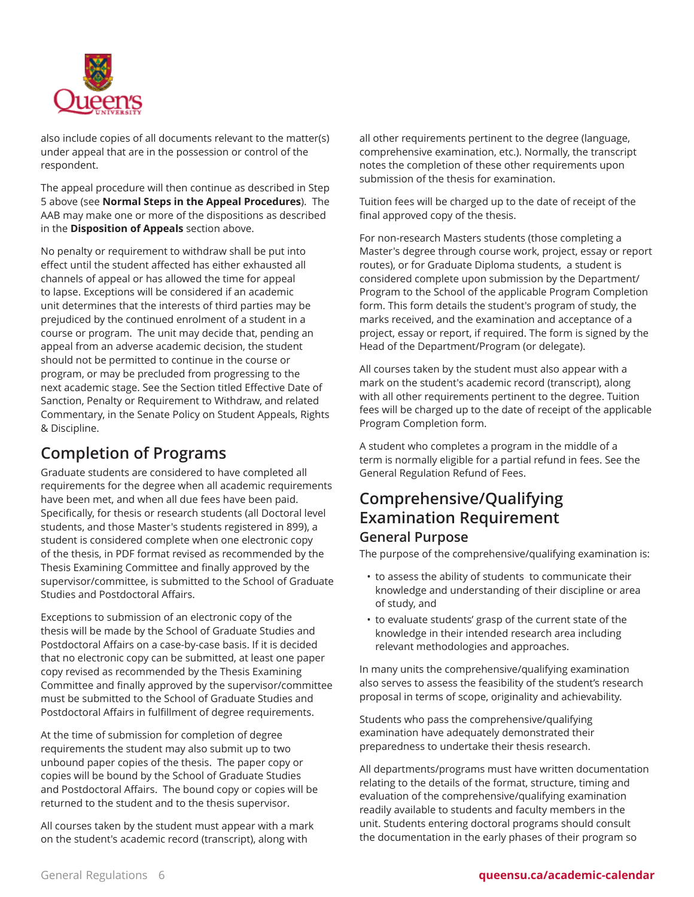

also include copies of all documents relevant to the matter(s) under appeal that are in the possession or control of the respondent.

The appeal procedure will then continue as described in Step 5 above (see **Normal Steps in the Appeal Procedures**). The AAB may make one or more of the dispositions as described in the **Disposition of Appeals** section above.

No penalty or requirement to withdraw shall be put into effect until the student affected has either exhausted all channels of appeal or has allowed the time for appeal to lapse. Exceptions will be considered if an academic unit determines that the interests of third parties may be prejudiced by the continued enrolment of a student in a course or program. The unit may decide that, pending an appeal from an adverse academic decision, the student should not be permitted to continue in the course or program, or may be precluded from progressing to the next academic stage. See the Section titled Effective Date of Sanction, Penalty or Requirement to Withdraw, and related Commentary, in the Senate Policy on Student Appeals, Rights & Discipline.

# **Completion of Programs**

Graduate students are considered to have completed all requirements for the degree when all academic requirements have been met, and when all due fees have been paid. Specifically, for thesis or research students (all Doctoral level students, and those Master's students registered in 899), a student is considered complete when one electronic copy of the thesis, in PDF format revised as recommended by the Thesis Examining Committee and finally approved by the supervisor/committee, is submitted to the School of Graduate Studies and Postdoctoral Affairs.

Exceptions to submission of an electronic copy of the thesis will be made by the School of Graduate Studies and Postdoctoral Affairs on a case-by-case basis. If it is decided that no electronic copy can be submitted, at least one paper copy revised as recommended by the Thesis Examining Committee and finally approved by the supervisor/committee must be submitted to the School of Graduate Studies and Postdoctoral Affairs in fulfillment of degree requirements.

At the time of submission for completion of degree requirements the student may also submit up to two unbound paper copies of the thesis. The paper copy or copies will be bound by the School of Graduate Studies and Postdoctoral Affairs. The bound copy or copies will be returned to the student and to the thesis supervisor.

All courses taken by the student must appear with a mark on the student's academic record (transcript), along with

all other requirements pertinent to the degree (language, comprehensive examination, etc.). Normally, the transcript notes the completion of these other requirements upon submission of the thesis for examination.

Tuition fees will be charged up to the date of receipt of the final approved copy of the thesis.

For non-research Masters students (those completing a Master's degree through course work, project, essay or report routes), or for Graduate Diploma students, a student is considered complete upon submission by the Department/ Program to the School of the applicable Program Completion form. This form details the student's program of study, the marks received, and the examination and acceptance of a project, essay or report, if required. The form is signed by the Head of the Department/Program (or delegate).

All courses taken by the student must also appear with a mark on the student's academic record (transcript), along with all other requirements pertinent to the degree. Tuition fees will be charged up to the date of receipt of the applicable Program Completion form.

A student who completes a program in the middle of a term is normally eligible for a partial refund in fees. See the General Regulation Refund of Fees.

### **Comprehensive/Qualifying Examination Requirement General Purpose**

The purpose of the comprehensive/qualifying examination is:

- to assess the ability of students to communicate their knowledge and understanding of their discipline or area of study, and
- to evaluate students' grasp of the current state of the knowledge in their intended research area including relevant methodologies and approaches.

In many units the comprehensive/qualifying examination also serves to assess the feasibility of the student's research proposal in terms of scope, originality and achievability.

Students who pass the comprehensive/qualifying examination have adequately demonstrated their preparedness to undertake their thesis research.

All departments/programs must have written documentation relating to the details of the format, structure, timing and evaluation of the comprehensive/qualifying examination readily available to students and faculty members in the unit. Students entering doctoral programs should consult the documentation in the early phases of their program so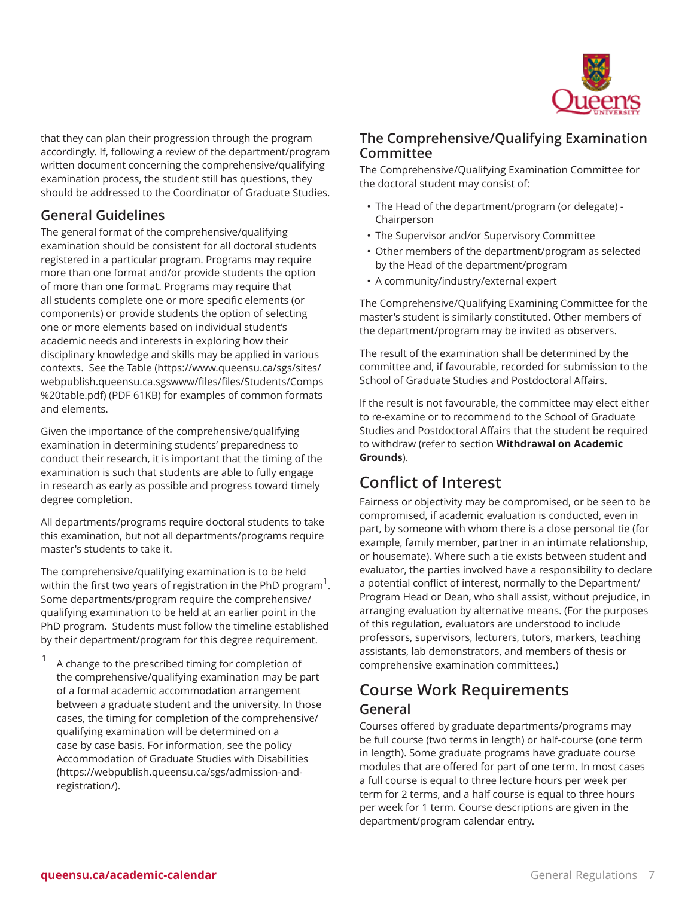

that they can plan their progression through the program accordingly. If, following a review of the department/program written document concerning the comprehensive/qualifying examination process, the student still has questions, they should be addressed to the Coordinator of Graduate Studies.

### **General Guidelines**

The general format of the comprehensive/qualifying examination should be consistent for all doctoral students registered in a particular program. Programs may require more than one format and/or provide students the option of more than one format. Programs may require that all students complete one or more specific elements (or components) or provide students the option of selecting one or more elements based on individual student's academic needs and interests in exploring how their disciplinary knowledge and skills may be applied in various contexts. See the [Table](https://www.queensu.ca/sgs/sites/webpublish.queensu.ca.sgswww/files/files/Students/Comps%20table.pdf) [\(https://www.queensu.ca/sgs/sites/](https://www.queensu.ca/sgs/sites/webpublish.queensu.ca.sgswww/files/files/Students/Comps%20table.pdf) [webpublish.queensu.ca.sgswww/files/files/Students/Comps](https://www.queensu.ca/sgs/sites/webpublish.queensu.ca.sgswww/files/files/Students/Comps%20table.pdf) [%20table.pdf](https://www.queensu.ca/sgs/sites/webpublish.queensu.ca.sgswww/files/files/Students/Comps%20table.pdf)) (PDF 61KB) for examples of common formats and elements.

Given the importance of the comprehensive/qualifying examination in determining students' preparedness to conduct their research, it is important that the timing of the examination is such that students are able to fully engage in research as early as possible and progress toward timely degree completion.

All departments/programs require doctoral students to take this examination, but not all departments/programs require master's students to take it.

The comprehensive/qualifying examination is to be held within the first two years of registration in the PhD program  $^1$ . Some departments/program require the comprehensive/ qualifying examination to be held at an earlier point in the PhD program. Students must follow the timeline established by their department/program for this degree requirement.

1 A change to the prescribed timing for completion of the comprehensive/qualifying examination may be part of a formal academic accommodation arrangement between a graduate student and the university. In those cases, the timing for completion of the comprehensive/ qualifying examination will be determined on a case by case basis. For information, see the policy [Accommodation](https://webpublish.queensu.ca/sgs/admission-and-registration/) of Graduate Studies with Disabilities ([https://webpublish.queensu.ca/sgs/admission-and](https://webpublish.queensu.ca/sgs/admission-and-registration/)[registration/](https://webpublish.queensu.ca/sgs/admission-and-registration/)).

### **The Comprehensive/Qualifying Examination Committee**

The Comprehensive/Qualifying Examination Committee for the doctoral student may consist of:

- The Head of the department/program (or delegate) Chairperson
- The Supervisor and/or Supervisory Committee
- Other members of the department/program as selected by the Head of the department/program
- A community/industry/external expert

The Comprehensive/Qualifying Examining Committee for the master's student is similarly constituted. Other members of the department/program may be invited as observers.

The result of the examination shall be determined by the committee and, if favourable, recorded for submission to the School of Graduate Studies and Postdoctoral Affairs.

If the result is not favourable, the committee may elect either to re-examine or to recommend to the School of Graduate Studies and Postdoctoral Affairs that the student be required to withdraw (refer to section **Withdrawal on Academic Grounds**).

# **Conflict of Interest**

Fairness or objectivity may be compromised, or be seen to be compromised, if academic evaluation is conducted, even in part, by someone with whom there is a close personal tie (for example, family member, partner in an intimate relationship, or housemate). Where such a tie exists between student and evaluator, the parties involved have a responsibility to declare a potential conflict of interest, normally to the Department/ Program Head or Dean, who shall assist, without prejudice, in arranging evaluation by alternative means. (For the purposes of this regulation, evaluators are understood to include professors, supervisors, lecturers, tutors, markers, teaching assistants, lab demonstrators, and members of thesis or comprehensive examination committees.)

# **Course Work Requirements General**

Courses offered by graduate departments/programs may be full course (two terms in length) or half-course (one term in length). Some graduate programs have graduate course modules that are offered for part of one term. In most cases a full course is equal to three lecture hours per week per term for 2 terms, and a half course is equal to three hours per week for 1 term. Course descriptions are given in the department/program calendar entry.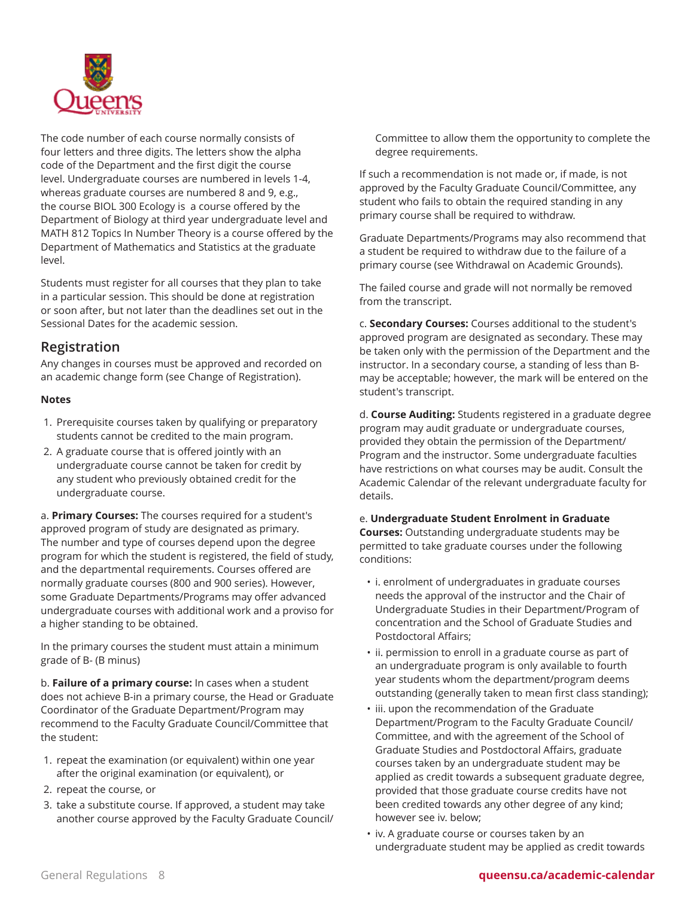

The code number of each course normally consists of four letters and three digits. The letters show the alpha code of the Department and the first digit the course level. Undergraduate courses are numbered in levels 1-4, whereas graduate courses are numbered 8 and 9, e.g., the course BIOL 300 Ecology is a course offered by the Department of Biology at third year undergraduate level and MATH 812 Topics In Number Theory is a course offered by the Department of Mathematics and Statistics at the graduate level.

Students must register for all courses that they plan to take in a particular session. This should be done at registration or soon after, but not later than the deadlines set out in the Sessional Dates for the academic session.

### **Registration**

Any changes in courses must be approved and recorded on an academic change form (see Change of Registration).

#### **Notes**

- 1. Prerequisite courses taken by qualifying or preparatory students cannot be credited to the main program.
- 2. A graduate course that is offered jointly with an undergraduate course cannot be taken for credit by any student who previously obtained credit for the undergraduate course.

a. **Primary Courses:** The courses required for a student's approved program of study are designated as primary. The number and type of courses depend upon the degree program for which the student is registered, the field of study, and the departmental requirements. Courses offered are normally graduate courses (800 and 900 series). However, some Graduate Departments/Programs may offer advanced undergraduate courses with additional work and a proviso for a higher standing to be obtained.

In the primary courses the student must attain a minimum grade of B- (B minus)

b. **Failure of a primary course:** In cases when a student does not achieve B-in a primary course, the Head or Graduate Coordinator of the Graduate Department/Program may recommend to the Faculty Graduate Council/Committee that the student:

- 1. repeat the examination (or equivalent) within one year after the original examination (or equivalent), or
- 2. repeat the course, or
- 3. take a substitute course. If approved, a student may take another course approved by the Faculty Graduate Council/

Committee to allow them the opportunity to complete the degree requirements.

If such a recommendation is not made or, if made, is not approved by the Faculty Graduate Council/Committee, any student who fails to obtain the required standing in any primary course shall be required to withdraw.

Graduate Departments/Programs may also recommend that a student be required to withdraw due to the failure of a primary course (see Withdrawal on Academic Grounds).

The failed course and grade will not normally be removed from the transcript.

c. **Secondary Courses:** Courses additional to the student's approved program are designated as secondary. These may be taken only with the permission of the Department and the instructor. In a secondary course, a standing of less than Bmay be acceptable; however, the mark will be entered on the student's transcript.

d. **Course Auditing:** Students registered in a graduate degree program may audit graduate or undergraduate courses, provided they obtain the permission of the Department/ Program and the instructor. Some undergraduate faculties have restrictions on what courses may be audit. Consult the Academic Calendar of the relevant undergraduate faculty for details.

e. **Undergraduate Student Enrolment in Graduate**

**Courses:** Outstanding undergraduate students may be permitted to take graduate courses under the following conditions:

- i. enrolment of undergraduates in graduate courses needs the approval of the instructor and the Chair of Undergraduate Studies in their Department/Program of concentration and the School of Graduate Studies and Postdoctoral Affairs;
- ii. permission to enroll in a graduate course as part of an undergraduate program is only available to fourth year students whom the department/program deems outstanding (generally taken to mean first class standing);
- iii. upon the recommendation of the Graduate Department/Program to the Faculty Graduate Council/ Committee, and with the agreement of the School of Graduate Studies and Postdoctoral Affairs, graduate courses taken by an undergraduate student may be applied as credit towards a subsequent graduate degree, provided that those graduate course credits have not been credited towards any other degree of any kind; however see iv. below;
- iv. A graduate course or courses taken by an undergraduate student may be applied as credit towards

#### General Regulations 8 **queensu.ca/academic-calendar**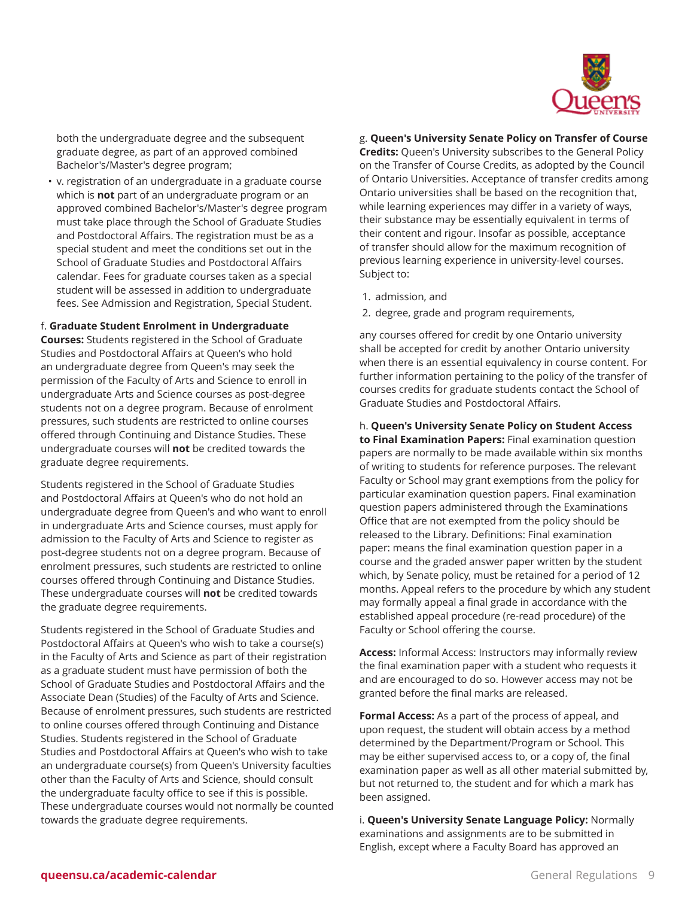

both the undergraduate degree and the subsequent graduate degree, as part of an approved combined Bachelor's/Master's degree program;

• v. registration of an undergraduate in a graduate course which is **not** part of an undergraduate program or an approved combined Bachelor's/Master's degree program must take place through the School of Graduate Studies and Postdoctoral Affairs. The registration must be as a special student and meet the conditions set out in the School of Graduate Studies and Postdoctoral Affairs calendar. Fees for graduate courses taken as a special student will be assessed in addition to undergraduate fees. See Admission and Registration, Special Student.

f. **Graduate Student Enrolment in Undergraduate**

**Courses:** Students registered in the School of Graduate Studies and Postdoctoral Affairs at Queen's who hold an undergraduate degree from Queen's may seek the permission of the Faculty of Arts and Science to enroll in undergraduate Arts and Science courses as post-degree students not on a degree program. Because of enrolment pressures, such students are restricted to online courses offered through Continuing and Distance Studies. These undergraduate courses will **not** be credited towards the graduate degree requirements.

Students registered in the School of Graduate Studies and Postdoctoral Affairs at Queen's who do not hold an undergraduate degree from Queen's and who want to enroll in undergraduate Arts and Science courses, must apply for admission to the Faculty of Arts and Science to register as post-degree students not on a degree program. Because of enrolment pressures, such students are restricted to online courses offered through Continuing and Distance Studies. These undergraduate courses will **not** be credited towards the graduate degree requirements.

Students registered in the School of Graduate Studies and Postdoctoral Affairs at Queen's who wish to take a course(s) in the Faculty of Arts and Science as part of their registration as a graduate student must have permission of both the School of Graduate Studies and Postdoctoral Affairs and the Associate Dean (Studies) of the Faculty of Arts and Science. Because of enrolment pressures, such students are restricted to online courses offered through Continuing and Distance Studies. Students registered in the School of Graduate Studies and Postdoctoral Affairs at Queen's who wish to take an undergraduate course(s) from Queen's University faculties other than the Faculty of Arts and Science, should consult the undergraduate faculty office to see if this is possible. These undergraduate courses would not normally be counted towards the graduate degree requirements.

g. **Queen's University Senate Policy on Transfer of Course**

**Credits:** Queen's University subscribes to the General Policy on the Transfer of Course Credits, as adopted by the Council of Ontario Universities. Acceptance of transfer credits among Ontario universities shall be based on the recognition that, while learning experiences may differ in a variety of ways, their substance may be essentially equivalent in terms of their content and rigour. Insofar as possible, acceptance of transfer should allow for the maximum recognition of previous learning experience in university-level courses. Subject to:

- 1. admission, and
- 2. degree, grade and program requirements,

any courses offered for credit by one Ontario university shall be accepted for credit by another Ontario university when there is an essential equivalency in course content. For further information pertaining to the policy of the transfer of courses credits for graduate students contact the School of Graduate Studies and Postdoctoral Affairs.

h. **Queen's University Senate Policy on Student Access to Final Examination Papers:** Final examination question papers are normally to be made available within six months of writing to students for reference purposes. The relevant Faculty or School may grant exemptions from the policy for particular examination question papers. Final examination question papers administered through the Examinations Office that are not exempted from the policy should be released to the Library. Definitions: Final examination paper: means the final examination question paper in a course and the graded answer paper written by the student which, by Senate policy, must be retained for a period of 12 months. Appeal refers to the procedure by which any student may formally appeal a final grade in accordance with the established appeal procedure (re-read procedure) of the Faculty or School offering the course.

**Access:** Informal Access: Instructors may informally review the final examination paper with a student who requests it and are encouraged to do so. However access may not be granted before the final marks are released.

**Formal Access:** As a part of the process of appeal, and upon request, the student will obtain access by a method determined by the Department/Program or School. This may be either supervised access to, or a copy of, the final examination paper as well as all other material submitted by, but not returned to, the student and for which a mark has been assigned.

i. **Queen's University Senate Language Policy:** Normally examinations and assignments are to be submitted in English, except where a Faculty Board has approved an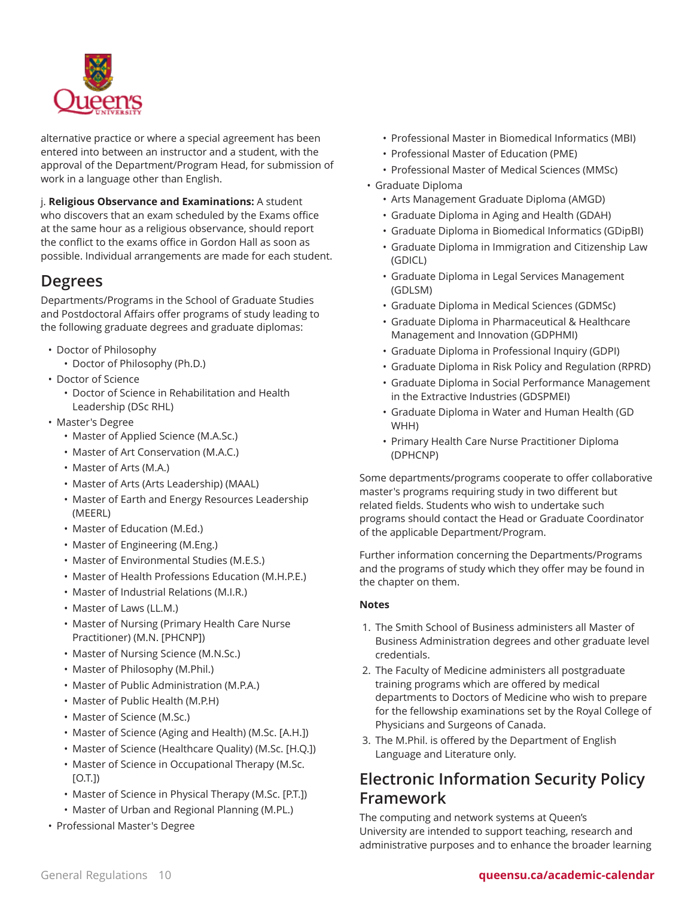

alternative practice or where a special agreement has been entered into between an instructor and a student, with the approval of the Department/Program Head, for submission of work in a language other than English.

j. **Religious Observance and Examinations:** A student who discovers that an exam scheduled by the Exams office at the same hour as a religious observance, should report the conflict to the exams office in Gordon Hall as soon as possible. Individual arrangements are made for each student.

# **Degrees**

Departments/Programs in the School of Graduate Studies and Postdoctoral Affairs offer programs of study leading to the following graduate degrees and graduate diplomas:

- Doctor of Philosophy
	- Doctor of Philosophy (Ph.D.)
- Doctor of Science
	- Doctor of Science in Rehabilitation and Health Leadership (DSc RHL)
- Master's Degree
	- Master of Applied Science (M.A.Sc.)
	- Master of Art Conservation (M.A.C.)
	- Master of Arts (M.A.)
	- Master of Arts (Arts Leadership) (MAAL)
	- Master of Earth and Energy Resources Leadership (MEERL)
	- Master of Education (M.Ed.)
	- Master of Engineering (M.Eng.)
	- Master of Environmental Studies (M.E.S.)
	- Master of Health Professions Education (M.H.P.E.)
	- Master of Industrial Relations (M.I.R.)
	- Master of Laws (LL.M.)
	- Master of Nursing (Primary Health Care Nurse Practitioner) (M.N. [PHCNP])
	- Master of Nursing Science (M.N.Sc.)
	- Master of Philosophy (M.Phil.)
	- Master of Public Administration (M.P.A.)
	- Master of Public Health (M.P.H)
	- Master of Science (M.Sc.)
	- Master of Science (Aging and Health) (M.Sc. [A.H.])
	- Master of Science (Healthcare Quality) (M.Sc. [H.Q.])
	- Master of Science in Occupational Therapy (M.Sc. [O.T.])
	- Master of Science in Physical Therapy (M.Sc. [P.T.])
	- Master of Urban and Regional Planning (M.PL.)
- Professional Master's Degree
- Professional Master in Biomedical Informatics (MBI)
- Professional Master of Education (PME)
- Professional Master of Medical Sciences (MMSc)
- Graduate Diploma
	- Arts Management Graduate Diploma (AMGD)
	- Graduate Diploma in Aging and Health (GDAH)
	- Graduate Diploma in Biomedical Informatics (GDipBI)
	- Graduate Diploma in Immigration and Citizenship Law (GDICL)
	- Graduate Diploma in Legal Services Management (GDLSM)
	- Graduate Diploma in Medical Sciences (GDMSc)
	- Graduate Diploma in Pharmaceutical & Healthcare Management and Innovation (GDPHMI)
	- Graduate Diploma in Professional Inquiry (GDPI)
	- Graduate Diploma in Risk Policy and Regulation (RPRD)
	- Graduate Diploma in Social Performance Management in the Extractive Industries (GDSPMEI)
	- Graduate Diploma in Water and Human Health (GD WHH)
	- Primary Health Care Nurse Practitioner Diploma (DPHCNP)

Some departments/programs cooperate to offer collaborative master's programs requiring study in two different but related fields. Students who wish to undertake such programs should contact the Head or Graduate Coordinator of the applicable Department/Program.

Further information concerning the Departments/Programs and the programs of study which they offer may be found in the chapter on them.

#### **Notes**

- 1. The Smith School of Business administers all Master of Business Administration degrees and other graduate level credentials.
- 2. The Faculty of Medicine administers all postgraduate training programs which are offered by medical departments to Doctors of Medicine who wish to prepare for the fellowship examinations set by the Royal College of Physicians and Surgeons of Canada.
- 3. The M.Phil. is offered by the Department of English Language and Literature only.

# **Electronic Information Security Policy Framework**

The computing and network systems at Queen's University are intended to support teaching, research and administrative purposes and to enhance the broader learning

#### General Regulations 10 **queensu.ca/academic-calendar**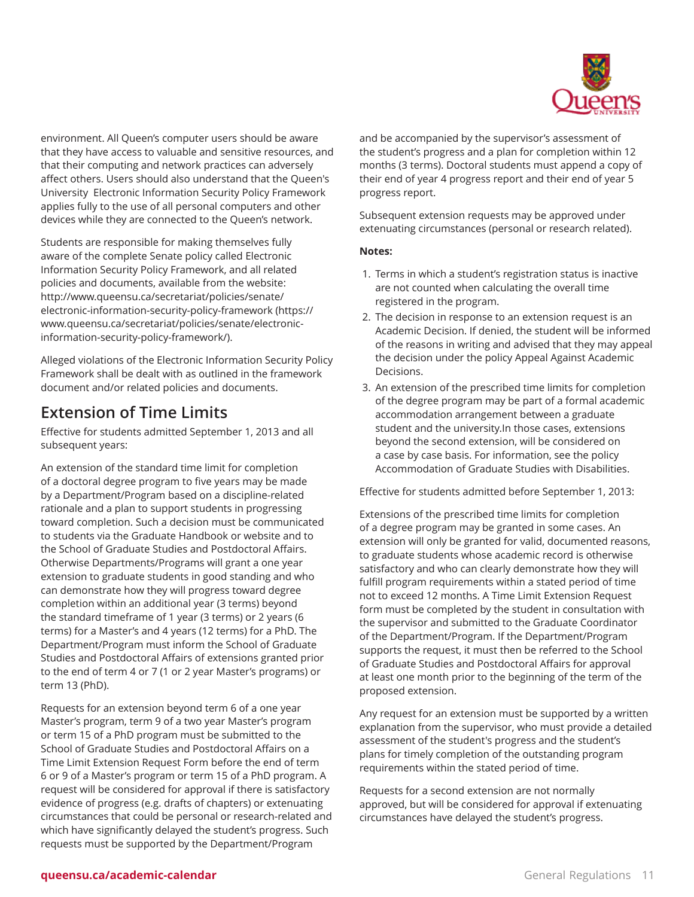

environment. All Queen's computer users should be aware that they have access to valuable and sensitive resources, and that their computing and network practices can adversely affect others. Users should also understand that the Queen's University Electronic Information Security Policy Framework applies fully to the use of all personal computers and other devices while they are connected to the Queen's network.

Students are responsible for making themselves fully aware of the complete Senate policy called Electronic Information Security Policy Framework, and all related policies and documents, available from the website: [http://www.queensu.ca/secretariat/policies/senate/](https://www.queensu.ca/secretariat/policies/senate/electronic-information-security-policy-framework/) [electronic-information-security-policy-framework](https://www.queensu.ca/secretariat/policies/senate/electronic-information-security-policy-framework/) ([https://](https://www.queensu.ca/secretariat/policies/senate/electronic-information-security-policy-framework/) [www.queensu.ca/secretariat/policies/senate/electronic](https://www.queensu.ca/secretariat/policies/senate/electronic-information-security-policy-framework/)[information-security-policy-framework/](https://www.queensu.ca/secretariat/policies/senate/electronic-information-security-policy-framework/)).

Alleged violations of the Electronic Information Security Policy Framework shall be dealt with as outlined in the framework document and/or related policies and documents.

# **Extension of Time Limits**

Effective for students admitted September 1, 2013 and all subsequent years:

An extension of the standard time limit for completion of a doctoral degree program to five years may be made by a Department/Program based on a discipline-related rationale and a plan to support students in progressing toward completion. Such a decision must be communicated to students via the Graduate Handbook or website and to the School of Graduate Studies and Postdoctoral Affairs. Otherwise Departments/Programs will grant a one year extension to graduate students in good standing and who can demonstrate how they will progress toward degree completion within an additional year (3 terms) beyond the standard timeframe of 1 year (3 terms) or 2 years (6 terms) for a Master's and 4 years (12 terms) for a PhD. The Department/Program must inform the School of Graduate Studies and Postdoctoral Affairs of extensions granted prior to the end of term 4 or 7 (1 or 2 year Master's programs) or term 13 (PhD).

Requests for an extension beyond term 6 of a one year Master's program, term 9 of a two year Master's program or term 15 of a PhD program must be submitted to the School of Graduate Studies and Postdoctoral Affairs on a Time Limit Extension Request Form before the end of term 6 or 9 of a Master's program or term 15 of a PhD program. A request will be considered for approval if there is satisfactory evidence of progress (e.g. drafts of chapters) or extenuating circumstances that could be personal or research-related and which have significantly delayed the student's progress. Such requests must be supported by the Department/Program

and be accompanied by the supervisor's assessment of the student's progress and a plan for completion within 12 months (3 terms). Doctoral students must append a copy of their end of year 4 progress report and their end of year 5 progress report.

Subsequent extension requests may be approved under extenuating circumstances (personal or research related).

#### **Notes:**

- 1. Terms in which a student's registration status is inactive are not counted when calculating the overall time registered in the program.
- 2. The decision in response to an extension request is an Academic Decision. If denied, the student will be informed of the reasons in writing and advised that they may appeal the decision under the policy Appeal Against Academic Decisions.
- 3. An extension of the prescribed time limits for completion of the degree program may be part of a formal academic accommodation arrangement between a graduate student and the university.In those cases, extensions beyond the second extension, will be considered on a case by case basis. For information, see the policy Accommodation of Graduate Studies with Disabilities.

Effective for students admitted before September 1, 2013:

Extensions of the prescribed time limits for completion of a degree program may be granted in some cases. An extension will only be granted for valid, documented reasons, to graduate students whose academic record is otherwise satisfactory and who can clearly demonstrate how they will fulfill program requirements within a stated period of time not to exceed 12 months. A Time Limit Extension Request form must be completed by the student in consultation with the supervisor and submitted to the Graduate Coordinator of the Department/Program. If the Department/Program supports the request, it must then be referred to the School of Graduate Studies and Postdoctoral Affairs for approval at least one month prior to the beginning of the term of the proposed extension.

Any request for an extension must be supported by a written explanation from the supervisor, who must provide a detailed assessment of the student's progress and the student's plans for timely completion of the outstanding program requirements within the stated period of time.

Requests for a second extension are not normally approved, but will be considered for approval if extenuating circumstances have delayed the student's progress.

### **queensu.ca/academic-calendar** and **General Regulations 11**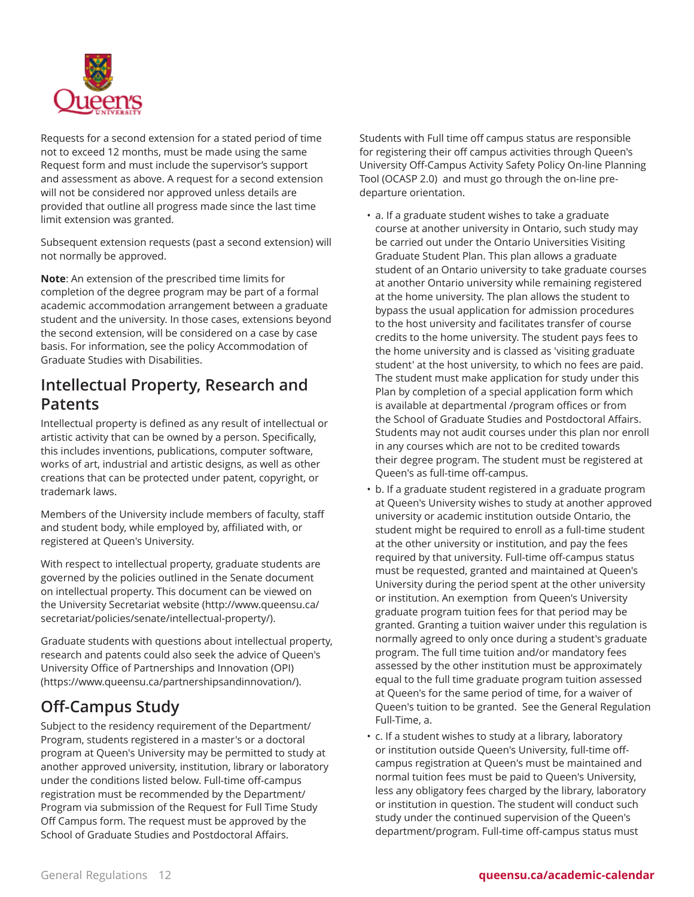

Requests for a second extension for a stated period of time not to exceed 12 months, must be made using the same Request form and must include the supervisor's support and assessment as above. A request for a second extension will not be considered nor approved unless details are provided that outline all progress made since the last time limit extension was granted.

Subsequent extension requests (past a second extension) will not normally be approved.

**Note**: An extension of the prescribed time limits for completion of the degree program may be part of a formal academic accommodation arrangement between a graduate student and the university. In those cases, extensions beyond the second extension, will be considered on a case by case basis. For information, see the policy Accommodation of Graduate Studies with Disabilities.

# **Intellectual Property, Research and Patents**

Intellectual property is defined as any result of intellectual or artistic activity that can be owned by a person. Specifically, this includes inventions, publications, computer software, works of art, industrial and artistic designs, as well as other creations that can be protected under patent, copyright, or trademark laws.

Members of the University include members of faculty, staff and student body, while employed by, affiliated with, or registered at Queen's University.

With respect to intellectual property, graduate students are governed by the policies outlined in the Senate document on intellectual property. This document can be viewed on the University [Secretariat](http://www.queensu.ca/secretariat/policies/senate/intellectual-property/) website ([http://www.queensu.ca/](http://www.queensu.ca/secretariat/policies/senate/intellectual-property/) [secretariat/policies/senate/intellectual-property/](http://www.queensu.ca/secretariat/policies/senate/intellectual-property/)).

Graduate students with questions about intellectual property, research and patents could also seek the advice of Queen's University Office of [Partnerships](https://www.queensu.ca/partnershipsandinnovation/) and Innovation (OPI) (<https://www.queensu.ca/partnershipsandinnovation/>).

# **Off-Campus Study**

Subject to the residency requirement of the Department/ Program, students registered in a master's or a doctoral program at Queen's University may be permitted to study at another approved university, institution, library or laboratory under the conditions listed below. Full-time off-campus registration must be recommended by the Department/ Program via submission of the Request for Full Time Study Off Campus form. The request must be approved by the School of Graduate Studies and Postdoctoral Affairs.

Students with Full time off campus status are responsible for registering their off campus activities through Queen's University Off-Campus Activity Safety Policy On-line Planning Tool (OCASP 2.0) and must go through the on-line predeparture orientation.

- a. If a graduate student wishes to take a graduate course at another university in Ontario, such study may be carried out under the Ontario Universities Visiting Graduate Student Plan. This plan allows a graduate student of an Ontario university to take graduate courses at another Ontario university while remaining registered at the home university. The plan allows the student to bypass the usual application for admission procedures to the host university and facilitates transfer of course credits to the home university. The student pays fees to the home university and is classed as 'visiting graduate student' at the host university, to which no fees are paid. The student must make application for study under this Plan by completion of a special application form which is available at departmental /program offices or from the School of Graduate Studies and Postdoctoral Affairs. Students may not audit courses under this plan nor enroll in any courses which are not to be credited towards their degree program. The student must be registered at Queen's as full-time off-campus.
- b. If a graduate student registered in a graduate program at Queen's University wishes to study at another approved university or academic institution outside Ontario, the student might be required to enroll as a full-time student at the other university or institution, and pay the fees required by that university. Full-time off-campus status must be requested, granted and maintained at Queen's University during the period spent at the other university or institution. An exemption from Queen's University graduate program tuition fees for that period may be granted. Granting a tuition waiver under this regulation is normally agreed to only once during a student's graduate program. The full time tuition and/or mandatory fees assessed by the other institution must be approximately equal to the full time graduate program tuition assessed at Queen's for the same period of time, for a waiver of Queen's tuition to be granted. See the General Regulation Full-Time, a.
- c. If a student wishes to study at a library, laboratory or institution outside Queen's University, full-time offcampus registration at Queen's must be maintained and normal tuition fees must be paid to Queen's University, less any obligatory fees charged by the library, laboratory or institution in question. The student will conduct such study under the continued supervision of the Queen's department/program. Full-time off-campus status must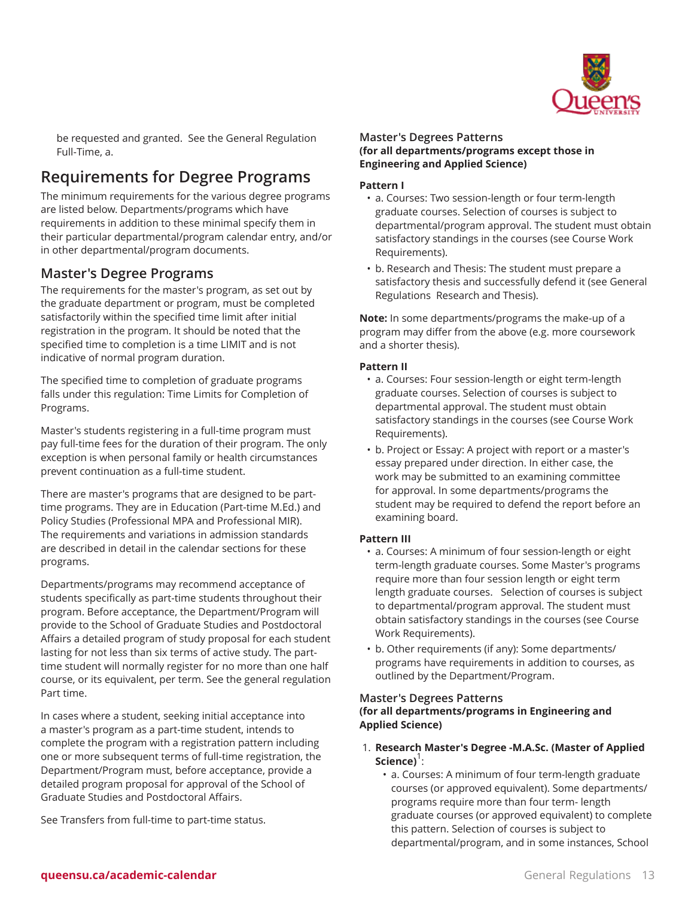

be requested and granted. See the General Regulation Full-Time, a.

# **Requirements for Degree Programs**

The minimum requirements for the various degree programs are listed below. Departments/programs which have requirements in addition to these minimal specify them in their particular departmental/program calendar entry, and/or in other departmental/program documents.

### **Master's Degree Programs**

The requirements for the master's program, as set out by the graduate department or program, must be completed satisfactorily within the specified time limit after initial registration in the program. It should be noted that the specified time to completion is a time LIMIT and is not indicative of normal program duration.

The specified time to completion of graduate programs falls under this regulation: Time Limits for Completion of Programs.

Master's students registering in a full-time program must pay full-time fees for the duration of their program. The only exception is when personal family or health circumstances prevent continuation as a full-time student.

There are master's programs that are designed to be parttime programs. They are in Education (Part-time M.Ed.) and Policy Studies (Professional MPA and Professional MIR). The requirements and variations in admission standards are described in detail in the calendar sections for these programs.

Departments/programs may recommend acceptance of students specifically as part-time students throughout their program. Before acceptance, the Department/Program will provide to the School of Graduate Studies and Postdoctoral Affairs a detailed program of study proposal for each student lasting for not less than six terms of active study. The parttime student will normally register for no more than one half course, or its equivalent, per term. See the general regulation Part time.

In cases where a student, seeking initial acceptance into a master's program as a part-time student, intends to complete the program with a registration pattern including one or more subsequent terms of full-time registration, the Department/Program must, before acceptance, provide a detailed program proposal for approval of the School of Graduate Studies and Postdoctoral Affairs.

See Transfers from full-time to part-time status.

#### **Master's Degrees Patterns (for all departments/programs except those in Engineering and Applied Science)**

#### **Pattern I**

- a. Courses: Two session-length or four term-length graduate courses. Selection of courses is subject to departmental/program approval. The student must obtain satisfactory standings in the courses (see Course Work Requirements).
- b. Research and Thesis: The student must prepare a satisfactory thesis and successfully defend it (see General Regulations Research and Thesis).

**Note:** In some departments/programs the make-up of a program may differ from the above (e.g. more coursework and a shorter thesis).

#### **Pattern II**

- a. Courses: Four session-length or eight term-length graduate courses. Selection of courses is subject to departmental approval. The student must obtain satisfactory standings in the courses (see Course Work Requirements).
- b. Project or Essay: A project with report or a master's essay prepared under direction. In either case, the work may be submitted to an examining committee for approval. In some departments/programs the student may be required to defend the report before an examining board.

#### **Pattern III**

- a. Courses: A minimum of four session-length or eight term-length graduate courses. Some Master's programs require more than four session length or eight term length graduate courses. Selection of courses is subject to departmental/program approval. The student must obtain satisfactory standings in the courses (see Course Work Requirements).
- b. Other requirements (if any): Some departments/ programs have requirements in addition to courses, as outlined by the Department/Program.

#### **Master's Degrees Patterns (for all departments/programs in Engineering and Applied Science)**

- 1. **Research Master's Degree -M.A.Sc. (Master of Applied Science)**<sup>1</sup>:
	- a. Courses: A minimum of four term-length graduate courses (or approved equivalent). Some departments/ programs require more than four term- length graduate courses (or approved equivalent) to complete this pattern. Selection of courses is subject to departmental/program, and in some instances, School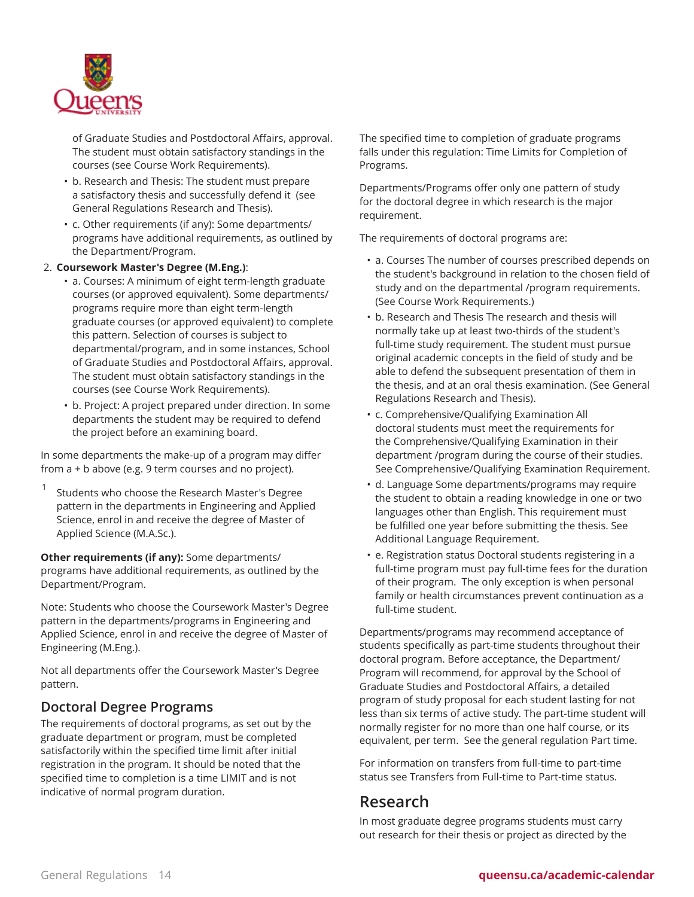

of Graduate Studies and Postdoctoral Affairs, approval. The student must obtain satisfactory standings in the courses (see Course Work Requirements).

- b. Research and Thesis: The student must prepare a satisfactory thesis and successfully defend it (see General Regulations Research and Thesis).
- c. Other requirements (if any): Some departments/ programs have additional requirements, as outlined by the Department/Program.

#### 2. **Coursework Master's Degree (M.Eng.)**:

- a. Courses: A minimum of eight term-length graduate courses (or approved equivalent). Some departments/ programs require more than eight term-length graduate courses (or approved equivalent) to complete this pattern. Selection of courses is subject to departmental/program, and in some instances, School of Graduate Studies and Postdoctoral Affairs, approval. The student must obtain satisfactory standings in the courses (see Course Work Requirements).
- b. Project: A project prepared under direction. In some departments the student may be required to defend the project before an examining board.

In some departments the make-up of a program may differ from a + b above (e.g. 9 term courses and no project).

1 Students who choose the Research Master's Degree pattern in the departments in Engineering and Applied Science, enrol in and receive the degree of Master of Applied Science (M.A.Sc.).

**Other requirements (if any):** Some departments/ programs have additional requirements, as outlined by the Department/Program.

Note: Students who choose the Coursework Master's Degree pattern in the departments/programs in Engineering and Applied Science, enrol in and receive the degree of Master of Engineering (M.Eng.).

Not all departments offer the Coursework Master's Degree pattern.

### **Doctoral Degree Programs**

The requirements of doctoral programs, as set out by the graduate department or program, must be completed satisfactorily within the specified time limit after initial registration in the program. It should be noted that the specified time to completion is a time LIMIT and is not indicative of normal program duration.

The specified time to completion of graduate programs falls under this regulation: Time Limits for Completion of Programs.

Departments/Programs offer only one pattern of study for the doctoral degree in which research is the major requirement.

The requirements of doctoral programs are:

- a. Courses The number of courses prescribed depends on the student's background in relation to the chosen field of study and on the departmental /program requirements. (See Course Work Requirements.)
- b. Research and Thesis The research and thesis will normally take up at least two-thirds of the student's full-time study requirement. The student must pursue original academic concepts in the field of study and be able to defend the subsequent presentation of them in the thesis, and at an oral thesis examination. (See General Regulations Research and Thesis).
- c. Comprehensive/Qualifying Examination All doctoral students must meet the requirements for the Comprehensive/Qualifying Examination in their department /program during the course of their studies. See Comprehensive/Qualifying Examination Requirement.
- d. Language Some departments/programs may require the student to obtain a reading knowledge in one or two languages other than English. This requirement must be fulfilled one year before submitting the thesis. See Additional Language Requirement.
- e. Registration status Doctoral students registering in a full-time program must pay full-time fees for the duration of their program. The only exception is when personal family or health circumstances prevent continuation as a full-time student.

Departments/programs may recommend acceptance of students specifically as part-time students throughout their doctoral program. Before acceptance, the Department/ Program will recommend, for approval by the School of Graduate Studies and Postdoctoral Affairs, a detailed program of study proposal for each student lasting for not less than six terms of active study. The part-time student will normally register for no more than one half course, or its equivalent, per term. See the general regulation Part time.

For information on transfers from full-time to part-time status see Transfers from Full-time to Part-time status.

## **Research**

In most graduate degree programs students must carry out research for their thesis or project as directed by the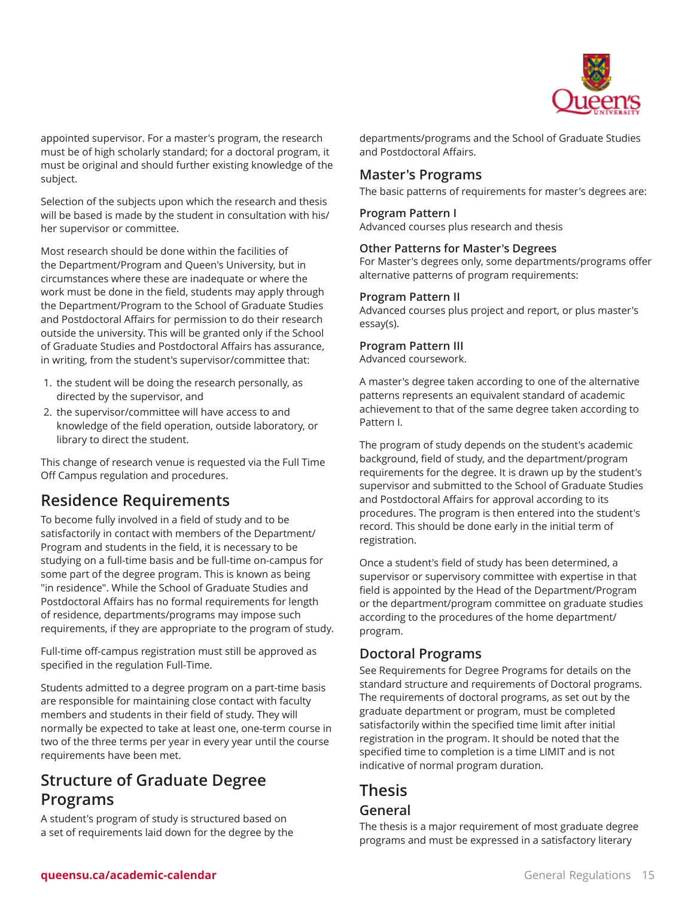

appointed supervisor. For a master's program, the research must be of high scholarly standard; for a doctoral program, it must be original and should further existing knowledge of the subject.

Selection of the subjects upon which the research and thesis will be based is made by the student in consultation with his/ her supervisor or committee.

Most research should be done within the facilities of the Department/Program and Queen's University, but in circumstances where these are inadequate or where the work must be done in the field, students may apply through the Department/Program to the School of Graduate Studies and Postdoctoral Affairs for permission to do their research outside the university. This will be granted only if the School of Graduate Studies and Postdoctoral Affairs has assurance, in writing, from the student's supervisor/committee that:

- 1. the student will be doing the research personally, as directed by the supervisor, and
- 2. the supervisor/committee will have access to and knowledge of the field operation, outside laboratory, or library to direct the student.

This change of research venue is requested via the Full Time Off Campus regulation and procedures.

# **Residence Requirements**

To become fully involved in a field of study and to be satisfactorily in contact with members of the Department/ Program and students in the field, it is necessary to be studying on a full-time basis and be full-time on-campus for some part of the degree program. This is known as being "in residence". While the School of Graduate Studies and Postdoctoral Affairs has no formal requirements for length of residence, departments/programs may impose such requirements, if they are appropriate to the program of study.

Full-time off-campus registration must still be approved as specified in the regulation Full-Time.

Students admitted to a degree program on a part-time basis are responsible for maintaining close contact with faculty members and students in their field of study. They will normally be expected to take at least one, one-term course in two of the three terms per year in every year until the course requirements have been met.

# **Structure of Graduate Degree Programs**

A student's program of study is structured based on a set of requirements laid down for the degree by the

departments/programs and the School of Graduate Studies and Postdoctoral Affairs.

### **Master's Programs**

The basic patterns of requirements for master's degrees are:

#### **Program Pattern I**

Advanced courses plus research and thesis

#### **Other Patterns for Master's Degrees**

For Master's degrees only, some departments/programs offer alternative patterns of program requirements:

#### **Program Pattern II**

Advanced courses plus project and report, or plus master's essay(s).

#### **Program Pattern III**

Advanced coursework.

A master's degree taken according to one of the alternative patterns represents an equivalent standard of academic achievement to that of the same degree taken according to Pattern I.

The program of study depends on the student's academic background, field of study, and the department/program requirements for the degree. It is drawn up by the student's supervisor and submitted to the School of Graduate Studies and Postdoctoral Affairs for approval according to its procedures. The program is then entered into the student's record. This should be done early in the initial term of registration.

Once a student's field of study has been determined, a supervisor or supervisory committee with expertise in that field is appointed by the Head of the Department/Program or the department/program committee on graduate studies according to the procedures of the home department/ program.

### **Doctoral Programs**

See Requirements for Degree Programs for details on the standard structure and requirements of Doctoral programs. The requirements of doctoral programs, as set out by the graduate department or program, must be completed satisfactorily within the specified time limit after initial registration in the program. It should be noted that the specified time to completion is a time LIMIT and is not indicative of normal program duration.

# **Thesis General**

The thesis is a major requirement of most graduate degree programs and must be expressed in a satisfactory literary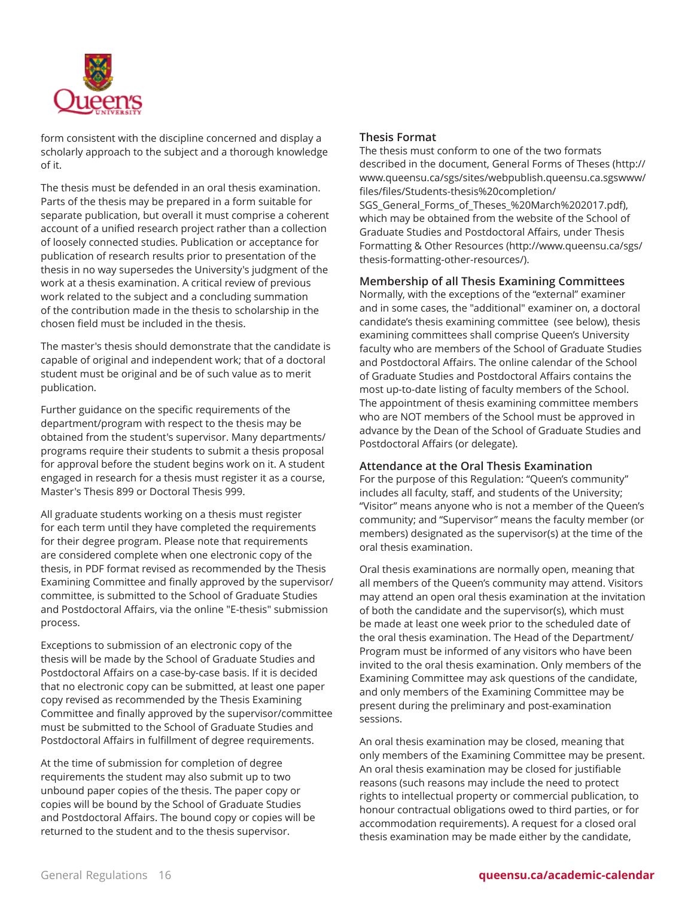

form consistent with the discipline concerned and display a scholarly approach to the subject and a thorough knowledge of it.

The thesis must be defended in an oral thesis examination. Parts of the thesis may be prepared in a form suitable for separate publication, but overall it must comprise a coherent account of a unified research project rather than a collection of loosely connected studies. Publication or acceptance for publication of research results prior to presentation of the thesis in no way supersedes the University's judgment of the work at a thesis examination. A critical review of previous work related to the subject and a concluding summation of the contribution made in the thesis to scholarship in the chosen field must be included in the thesis.

The master's thesis should demonstrate that the candidate is capable of original and independent work; that of a doctoral student must be original and be of such value as to merit publication.

Further guidance on the specific requirements of the department/program with respect to the thesis may be obtained from the student's supervisor. Many departments/ programs require their students to submit a thesis proposal for approval before the student begins work on it. A student engaged in research for a thesis must register it as a course, Master's Thesis 899 or Doctoral Thesis 999.

All graduate students working on a thesis must register for each term until they have completed the requirements for their degree program. Please note that requirements are considered complete when one electronic copy of the thesis, in PDF format revised as recommended by the Thesis Examining Committee and finally approved by the supervisor/ committee, is submitted to the School of Graduate Studies and Postdoctoral Affairs, via the online "E-thesis" submission process.

Exceptions to submission of an electronic copy of the thesis will be made by the School of Graduate Studies and Postdoctoral Affairs on a case-by-case basis. If it is decided that no electronic copy can be submitted, at least one paper copy revised as recommended by the Thesis Examining Committee and finally approved by the supervisor/committee must be submitted to the School of Graduate Studies and Postdoctoral Affairs in fulfillment of degree requirements.

At the time of submission for completion of degree requirements the student may also submit up to two unbound paper copies of the thesis. The paper copy or copies will be bound by the School of Graduate Studies and Postdoctoral Affairs. The bound copy or copies will be returned to the student and to the thesis supervisor.

#### **Thesis Format**

The thesis must conform to one of the two formats described in the document, [General](http://www.queensu.ca/sgs/sites/webpublish.queensu.ca.sgswww/files/files/Students-thesis%20completion/SGS_General_Forms_of_Theses_%20March%202017.pdf) Forms of Theses [\(http://](http://www.queensu.ca/sgs/sites/webpublish.queensu.ca.sgswww/files/files/Students-thesis%20completion/SGS_General_Forms_of_Theses_%20March%202017.pdf) [www.queensu.ca/sgs/sites/webpublish.queensu.ca.sgswww/](http://www.queensu.ca/sgs/sites/webpublish.queensu.ca.sgswww/files/files/Students-thesis%20completion/SGS_General_Forms_of_Theses_%20March%202017.pdf) [files/files/Students-thesis%20completion/](http://www.queensu.ca/sgs/sites/webpublish.queensu.ca.sgswww/files/files/Students-thesis%20completion/SGS_General_Forms_of_Theses_%20March%202017.pdf) [SGS\\_General\\_Forms\\_of\\_Theses\\_%20March%202017.pdf\)](http://www.queensu.ca/sgs/sites/webpublish.queensu.ca.sgswww/files/files/Students-thesis%20completion/SGS_General_Forms_of_Theses_%20March%202017.pdf), which may be obtained from the website of the School of Graduate Studies and Postdoctoral Affairs, under [Thesis](http://www.queensu.ca/sgs/thesis-formatting-other-resources/) [Formatting](http://www.queensu.ca/sgs/thesis-formatting-other-resources/) & Other Resources [\(http://www.queensu.ca/sgs/](http://www.queensu.ca/sgs/thesis-formatting-other-resources/) [thesis-formatting-other-resources/](http://www.queensu.ca/sgs/thesis-formatting-other-resources/)).

#### **Membership of all Thesis Examining Committees**

Normally, with the exceptions of the "external" examiner and in some cases, the "additional" examiner on, a doctoral candidate's thesis examining committee (see below), thesis examining committees shall comprise Queen's University faculty who are members of the School of Graduate Studies and Postdoctoral Affairs. The online calendar of the School of Graduate Studies and Postdoctoral Affairs contains the most up-to-date listing of faculty members of the School. The appointment of thesis examining committee members who are NOT members of the School must be approved in advance by the Dean of the School of Graduate Studies and Postdoctoral Affairs (or delegate).

#### **Attendance at the Oral Thesis Examination**

For the purpose of this Regulation: "Queen's community" includes all faculty, staff, and students of the University; "Visitor" means anyone who is not a member of the Queen's community; and "Supervisor" means the faculty member (or members) designated as the supervisor(s) at the time of the oral thesis examination.

Oral thesis examinations are normally open, meaning that all members of the Queen's community may attend. Visitors may attend an open oral thesis examination at the invitation of both the candidate and the supervisor(s), which must be made at least one week prior to the scheduled date of the oral thesis examination. The Head of the Department/ Program must be informed of any visitors who have been invited to the oral thesis examination. Only members of the Examining Committee may ask questions of the candidate, and only members of the Examining Committee may be present during the preliminary and post-examination sessions.

An oral thesis examination may be closed, meaning that only members of the Examining Committee may be present. An oral thesis examination may be closed for justifiable reasons (such reasons may include the need to protect rights to intellectual property or commercial publication, to honour contractual obligations owed to third parties, or for accommodation requirements). A request for a closed oral thesis examination may be made either by the candidate,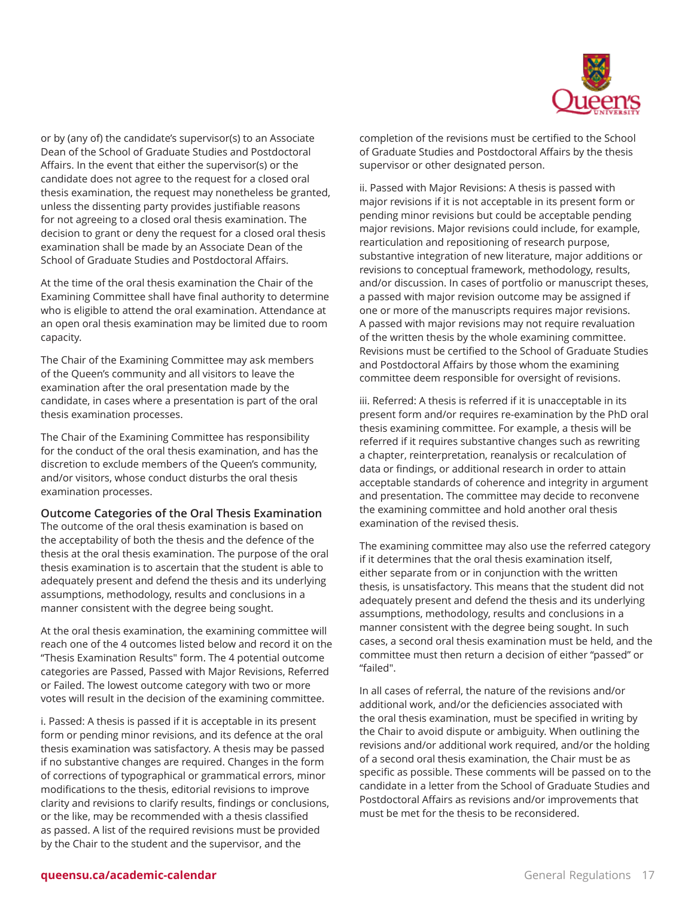

or by (any of) the candidate's supervisor(s) to an Associate Dean of the School of Graduate Studies and Postdoctoral Affairs. In the event that either the supervisor(s) or the candidate does not agree to the request for a closed oral thesis examination, the request may nonetheless be granted, unless the dissenting party provides justifiable reasons for not agreeing to a closed oral thesis examination. The decision to grant or deny the request for a closed oral thesis examination shall be made by an Associate Dean of the School of Graduate Studies and Postdoctoral Affairs.

At the time of the oral thesis examination the Chair of the Examining Committee shall have final authority to determine who is eligible to attend the oral examination. Attendance at an open oral thesis examination may be limited due to room capacity.

The Chair of the Examining Committee may ask members of the Queen's community and all visitors to leave the examination after the oral presentation made by the candidate, in cases where a presentation is part of the oral thesis examination processes.

The Chair of the Examining Committee has responsibility for the conduct of the oral thesis examination, and has the discretion to exclude members of the Queen's community, and/or visitors, whose conduct disturbs the oral thesis examination processes.

#### **Outcome Categories of the Oral Thesis Examination**

The outcome of the oral thesis examination is based on the acceptability of both the thesis and the defence of the thesis at the oral thesis examination. The purpose of the oral thesis examination is to ascertain that the student is able to adequately present and defend the thesis and its underlying assumptions, methodology, results and conclusions in a manner consistent with the degree being sought.

At the oral thesis examination, the examining committee will reach one of the 4 outcomes listed below and record it on the "Thesis Examination Results" form. The 4 potential outcome categories are Passed, Passed with Major Revisions, Referred or Failed. The lowest outcome category with two or more votes will result in the decision of the examining committee.

i. Passed: A thesis is passed if it is acceptable in its present form or pending minor revisions, and its defence at the oral thesis examination was satisfactory. A thesis may be passed if no substantive changes are required. Changes in the form of corrections of typographical or grammatical errors, minor modifications to the thesis, editorial revisions to improve clarity and revisions to clarify results, findings or conclusions, or the like, may be recommended with a thesis classified as passed. A list of the required revisions must be provided by the Chair to the student and the supervisor, and the

completion of the revisions must be certified to the School of Graduate Studies and Postdoctoral Affairs by the thesis supervisor or other designated person.

ii. Passed with Major Revisions: A thesis is passed with major revisions if it is not acceptable in its present form or pending minor revisions but could be acceptable pending major revisions. Major revisions could include, for example, rearticulation and repositioning of research purpose, substantive integration of new literature, major additions or revisions to conceptual framework, methodology, results, and/or discussion. In cases of portfolio or manuscript theses, a passed with major revision outcome may be assigned if one or more of the manuscripts requires major revisions. A passed with major revisions may not require revaluation of the written thesis by the whole examining committee. Revisions must be certified to the School of Graduate Studies and Postdoctoral Affairs by those whom the examining committee deem responsible for oversight of revisions.

iii. Referred: A thesis is referred if it is unacceptable in its present form and/or requires re-examination by the PhD oral thesis examining committee. For example, a thesis will be referred if it requires substantive changes such as rewriting a chapter, reinterpretation, reanalysis or recalculation of data or findings, or additional research in order to attain acceptable standards of coherence and integrity in argument and presentation. The committee may decide to reconvene the examining committee and hold another oral thesis examination of the revised thesis.

The examining committee may also use the referred category if it determines that the oral thesis examination itself, either separate from or in conjunction with the written thesis, is unsatisfactory. This means that the student did not adequately present and defend the thesis and its underlying assumptions, methodology, results and conclusions in a manner consistent with the degree being sought. In such cases, a second oral thesis examination must be held, and the committee must then return a decision of either "passed" or "failed".

In all cases of referral, the nature of the revisions and/or additional work, and/or the deficiencies associated with the oral thesis examination, must be specified in writing by the Chair to avoid dispute or ambiguity. When outlining the revisions and/or additional work required, and/or the holding of a second oral thesis examination, the Chair must be as specific as possible. These comments will be passed on to the candidate in a letter from the School of Graduate Studies and Postdoctoral Affairs as revisions and/or improvements that must be met for the thesis to be reconsidered.

#### **queensu.ca/academic-calendar** General Regulations 17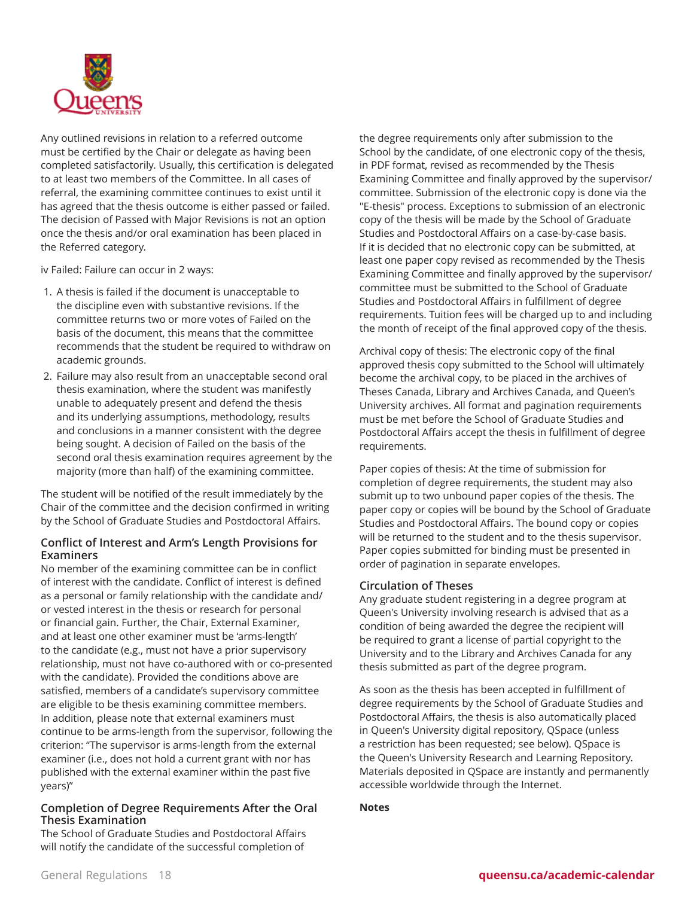

Any outlined revisions in relation to a referred outcome must be certified by the Chair or delegate as having been completed satisfactorily. Usually, this certification is delegated to at least two members of the Committee. In all cases of referral, the examining committee continues to exist until it has agreed that the thesis outcome is either passed or failed. The decision of Passed with Major Revisions is not an option once the thesis and/or oral examination has been placed in the Referred category.

iv Failed: Failure can occur in 2 ways:

- 1. A thesis is failed if the document is unacceptable to the discipline even with substantive revisions. If the committee returns two or more votes of Failed on the basis of the document, this means that the committee recommends that the student be required to withdraw on academic grounds.
- 2. Failure may also result from an unacceptable second oral thesis examination, where the student was manifestly unable to adequately present and defend the thesis and its underlying assumptions, methodology, results and conclusions in a manner consistent with the degree being sought. A decision of Failed on the basis of the second oral thesis examination requires agreement by the majority (more than half) of the examining committee.

The student will be notified of the result immediately by the Chair of the committee and the decision confirmed in writing by the School of Graduate Studies and Postdoctoral Affairs.

#### **Conflict of Interest and Arm's Length Provisions for Examiners**

No member of the examining committee can be in conflict of interest with the candidate. Conflict of interest is defined as a personal or family relationship with the candidate and/ or vested interest in the thesis or research for personal or financial gain. Further, the Chair, External Examiner, and at least one other examiner must be 'arms-length' to the candidate (e.g., must not have a prior supervisory relationship, must not have co-authored with or co-presented with the candidate). Provided the conditions above are satisfied, members of a candidate's supervisory committee are eligible to be thesis examining committee members. In addition, please note that external examiners must continue to be arms-length from the supervisor, following the criterion: "The supervisor is arms-length from the external examiner (i.e., does not hold a current grant with nor has published with the external examiner within the past five years)"

#### **Completion of Degree Requirements After the Oral Thesis Examination**

The School of Graduate Studies and Postdoctoral Affairs will notify the candidate of the successful completion of

the degree requirements only after submission to the School by the candidate, of one electronic copy of the thesis, in PDF format, revised as recommended by the Thesis Examining Committee and finally approved by the supervisor/ committee. Submission of the electronic copy is done via the "E-thesis" process. Exceptions to submission of an electronic copy of the thesis will be made by the School of Graduate Studies and Postdoctoral Affairs on a case-by-case basis. If it is decided that no electronic copy can be submitted, at least one paper copy revised as recommended by the Thesis Examining Committee and finally approved by the supervisor/ committee must be submitted to the School of Graduate Studies and Postdoctoral Affairs in fulfillment of degree requirements. Tuition fees will be charged up to and including the month of receipt of the final approved copy of the thesis.

Archival copy of thesis: The electronic copy of the final approved thesis copy submitted to the School will ultimately become the archival copy, to be placed in the archives of Theses Canada, Library and Archives Canada, and Queen's University archives. All format and pagination requirements must be met before the School of Graduate Studies and Postdoctoral Affairs accept the thesis in fulfillment of degree requirements.

Paper copies of thesis: At the time of submission for completion of degree requirements, the student may also submit up to two unbound paper copies of the thesis. The paper copy or copies will be bound by the School of Graduate Studies and Postdoctoral Affairs. The bound copy or copies will be returned to the student and to the thesis supervisor. Paper copies submitted for binding must be presented in order of pagination in separate envelopes.

#### **Circulation of Theses**

Any graduate student registering in a degree program at Queen's University involving research is advised that as a condition of being awarded the degree the recipient will be required to grant a license of partial copyright to the University and to the Library and Archives Canada for any thesis submitted as part of the degree program.

As soon as the thesis has been accepted in fulfillment of degree requirements by the School of Graduate Studies and Postdoctoral Affairs, the thesis is also automatically placed in Queen's University digital repository, QSpace (unless a restriction has been requested; see below). QSpace is the Queen's University Research and Learning Repository. Materials deposited in QSpace are instantly and permanently accessible worldwide through the Internet.

#### **Notes**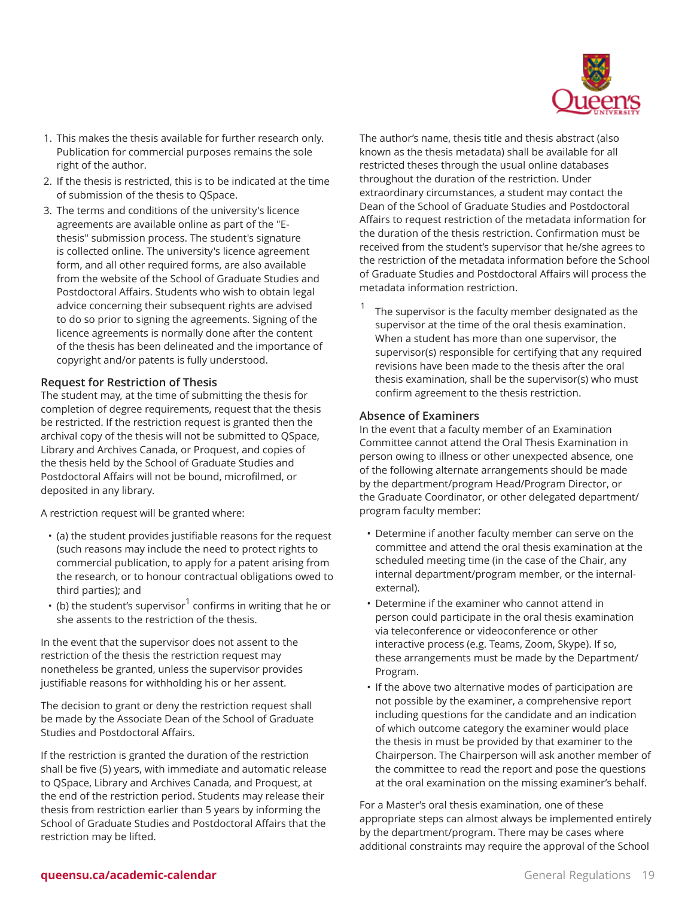

- 1. This makes the thesis available for further research only. Publication for commercial purposes remains the sole right of the author.
- 2. If the thesis is restricted, this is to be indicated at the time of submission of the thesis to QSpace.
- 3. The terms and conditions of the university's licence agreements are available online as part of the "Ethesis" submission process. The student's signature is collected online. The university's licence agreement form, and all other required forms, are also available from the website of the School of Graduate Studies and Postdoctoral Affairs. Students who wish to obtain legal advice concerning their subsequent rights are advised to do so prior to signing the agreements. Signing of the licence agreements is normally done after the content of the thesis has been delineated and the importance of copyright and/or patents is fully understood.

#### **Request for Restriction of Thesis**

The student may, at the time of submitting the thesis for completion of degree requirements, request that the thesis be restricted. If the restriction request is granted then the archival copy of the thesis will not be submitted to QSpace, Library and Archives Canada, or Proquest, and copies of the thesis held by the School of Graduate Studies and Postdoctoral Affairs will not be bound, microfilmed, or deposited in any library.

A restriction request will be granted where:

- (a) the student provides justifiable reasons for the request (such reasons may include the need to protect rights to commercial publication, to apply for a patent arising from the research, or to honour contractual obligations owed to third parties); and
- $\cdot$  (b) the student's supervisor $^1$  confirms in writing that he or she assents to the restriction of the thesis.

In the event that the supervisor does not assent to the restriction of the thesis the restriction request may nonetheless be granted, unless the supervisor provides justifiable reasons for withholding his or her assent.

The decision to grant or deny the restriction request shall be made by the Associate Dean of the School of Graduate Studies and Postdoctoral Affairs.

If the restriction is granted the duration of the restriction shall be five (5) years, with immediate and automatic release to QSpace, Library and Archives Canada, and Proquest, at the end of the restriction period. Students may release their thesis from restriction earlier than 5 years by informing the School of Graduate Studies and Postdoctoral Affairs that the restriction may be lifted.

The author's name, thesis title and thesis abstract (also known as the thesis metadata) shall be available for all restricted theses through the usual online databases throughout the duration of the restriction. Under extraordinary circumstances, a student may contact the Dean of the School of Graduate Studies and Postdoctoral Affairs to request restriction of the metadata information for the duration of the thesis restriction. Confirmation must be received from the student's supervisor that he/she agrees to the restriction of the metadata information before the School of Graduate Studies and Postdoctoral Affairs will process the metadata information restriction.

1 The supervisor is the faculty member designated as the supervisor at the time of the oral thesis examination. When a student has more than one supervisor, the supervisor(s) responsible for certifying that any required revisions have been made to the thesis after the oral thesis examination, shall be the supervisor(s) who must confirm agreement to the thesis restriction.

#### **Absence of Examiners**

In the event that a faculty member of an Examination Committee cannot attend the Oral Thesis Examination in person owing to illness or other unexpected absence, one of the following alternate arrangements should be made by the department/program Head/Program Director, or the Graduate Coordinator, or other delegated department/ program faculty member:

- Determine if another faculty member can serve on the committee and attend the oral thesis examination at the scheduled meeting time (in the case of the Chair, any internal department/program member, or the internalexternal).
- Determine if the examiner who cannot attend in person could participate in the oral thesis examination via teleconference or videoconference or other interactive process (e.g. Teams, Zoom, Skype). If so, these arrangements must be made by the Department/ Program.
- If the above two alternative modes of participation are not possible by the examiner, a comprehensive report including questions for the candidate and an indication of which outcome category the examiner would place the thesis in must be provided by that examiner to the Chairperson. The Chairperson will ask another member of the committee to read the report and pose the questions at the oral examination on the missing examiner's behalf.

For a Master's oral thesis examination, one of these appropriate steps can almost always be implemented entirely by the department/program. There may be cases where additional constraints may require the approval of the School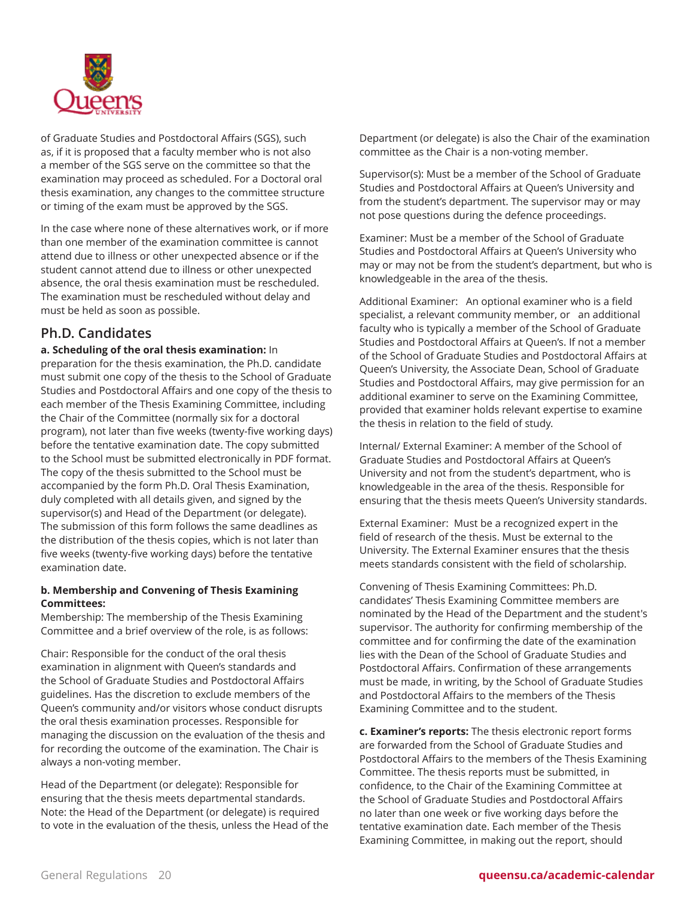

of Graduate Studies and Postdoctoral Affairs (SGS), such as, if it is proposed that a faculty member who is not also a member of the SGS serve on the committee so that the examination may proceed as scheduled. For a Doctoral oral thesis examination, any changes to the committee structure or timing of the exam must be approved by the SGS.

In the case where none of these alternatives work, or if more than one member of the examination committee is cannot attend due to illness or other unexpected absence or if the student cannot attend due to illness or other unexpected absence, the oral thesis examination must be rescheduled. The examination must be rescheduled without delay and must be held as soon as possible.

### **Ph.D. Candidates**

#### **a. Scheduling of the oral thesis examination:** In

preparation for the thesis examination, the Ph.D. candidate must submit one copy of the thesis to the School of Graduate Studies and Postdoctoral Affairs and one copy of the thesis to each member of the Thesis Examining Committee, including the Chair of the Committee (normally six for a doctoral program), not later than five weeks (twenty-five working days) before the tentative examination date. The copy submitted to the School must be submitted electronically in PDF format. The copy of the thesis submitted to the School must be accompanied by the form Ph.D. Oral Thesis Examination, duly completed with all details given, and signed by the supervisor(s) and Head of the Department (or delegate). The submission of this form follows the same deadlines as the distribution of the thesis copies, which is not later than five weeks (twenty-five working days) before the tentative examination date.

#### **b. Membership and Convening of Thesis Examining Committees:**

Membership: The membership of the Thesis Examining Committee and a brief overview of the role, is as follows:

Chair: Responsible for the conduct of the oral thesis examination in alignment with Queen's standards and the School of Graduate Studies and Postdoctoral Affairs guidelines. Has the discretion to exclude members of the Queen's community and/or visitors whose conduct disrupts the oral thesis examination processes. Responsible for managing the discussion on the evaluation of the thesis and for recording the outcome of the examination. The Chair is always a non-voting member.

Head of the Department (or delegate): Responsible for ensuring that the thesis meets departmental standards. Note: the Head of the Department (or delegate) is required to vote in the evaluation of the thesis, unless the Head of the

Department (or delegate) is also the Chair of the examination committee as the Chair is a non-voting member.

Supervisor(s): Must be a member of the School of Graduate Studies and Postdoctoral Affairs at Queen's University and from the student's department. The supervisor may or may not pose questions during the defence proceedings.

Examiner: Must be a member of the School of Graduate Studies and Postdoctoral Affairs at Queen's University who may or may not be from the student's department, but who is knowledgeable in the area of the thesis.

Additional Examiner: An optional examiner who is a field specialist, a relevant community member, or an additional faculty who is typically a member of the School of Graduate Studies and Postdoctoral Affairs at Queen's. If not a member of the School of Graduate Studies and Postdoctoral Affairs at Queen's University, the Associate Dean, School of Graduate Studies and Postdoctoral Affairs, may give permission for an additional examiner to serve on the Examining Committee, provided that examiner holds relevant expertise to examine the thesis in relation to the field of study.

Internal/ External Examiner: A member of the School of Graduate Studies and Postdoctoral Affairs at Queen's University and not from the student's department, who is knowledgeable in the area of the thesis. Responsible for ensuring that the thesis meets Queen's University standards.

External Examiner: Must be a recognized expert in the field of research of the thesis. Must be external to the University. The External Examiner ensures that the thesis meets standards consistent with the field of scholarship.

Convening of Thesis Examining Committees: Ph.D. candidates' Thesis Examining Committee members are nominated by the Head of the Department and the student's supervisor. The authority for confirming membership of the committee and for confirming the date of the examination lies with the Dean of the School of Graduate Studies and Postdoctoral Affairs. Confirmation of these arrangements must be made, in writing, by the School of Graduate Studies and Postdoctoral Affairs to the members of the Thesis Examining Committee and to the student.

**c. Examiner's reports:** The thesis electronic report forms are forwarded from the School of Graduate Studies and Postdoctoral Affairs to the members of the Thesis Examining Committee. The thesis reports must be submitted, in confidence, to the Chair of the Examining Committee at the School of Graduate Studies and Postdoctoral Affairs no later than one week or five working days before the tentative examination date. Each member of the Thesis Examining Committee, in making out the report, should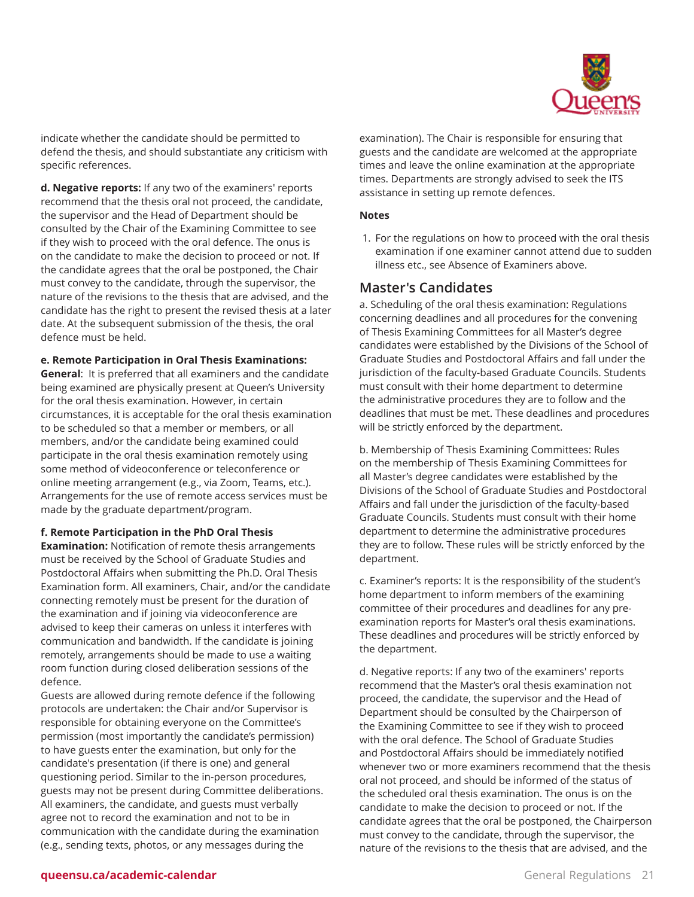

indicate whether the candidate should be permitted to defend the thesis, and should substantiate any criticism with specific references.

**d. Negative reports:** If any two of the examiners' reports recommend that the thesis oral not proceed, the candidate, the supervisor and the Head of Department should be consulted by the Chair of the Examining Committee to see if they wish to proceed with the oral defence. The onus is on the candidate to make the decision to proceed or not. If the candidate agrees that the oral be postponed, the Chair must convey to the candidate, through the supervisor, the nature of the revisions to the thesis that are advised, and the candidate has the right to present the revised thesis at a later date. At the subsequent submission of the thesis, the oral defence must be held.

#### **e. Remote Participation in Oral Thesis Examinations:**

**General**: It is preferred that all examiners and the candidate being examined are physically present at Queen's University for the oral thesis examination. However, in certain circumstances, it is acceptable for the oral thesis examination to be scheduled so that a member or members, or all members, and/or the candidate being examined could participate in the oral thesis examination remotely using some method of videoconference or teleconference or online meeting arrangement (e.g., via Zoom, Teams, etc.). Arrangements for the use of remote access services must be made by the graduate department/program.

#### **f. Remote Participation in the PhD Oral Thesis**

**Examination:** Notification of remote thesis arrangements must be received by the School of Graduate Studies and Postdoctoral Affairs when submitting the Ph.D. Oral Thesis Examination form. All examiners, Chair, and/or the candidate connecting remotely must be present for the duration of the examination and if joining via videoconference are advised to keep their cameras on unless it interferes with communication and bandwidth. If the candidate is joining remotely, arrangements should be made to use a waiting room function during closed deliberation sessions of the defence.

Guests are allowed during remote defence if the following protocols are undertaken: the Chair and/or Supervisor is responsible for obtaining everyone on the Committee's permission (most importantly the candidate's permission) to have guests enter the examination, but only for the candidate's presentation (if there is one) and general questioning period. Similar to the in-person procedures, guests may not be present during Committee deliberations. All examiners, the candidate, and guests must verbally agree not to record the examination and not to be in communication with the candidate during the examination (e.g., sending texts, photos, or any messages during the

examination). The Chair is responsible for ensuring that guests and the candidate are welcomed at the appropriate times and leave the online examination at the appropriate times. Departments are strongly advised to seek the ITS assistance in setting up remote defences.

#### **Notes**

1. For the regulations on how to proceed with the oral thesis examination if one examiner cannot attend due to sudden illness etc., see Absence of Examiners above.

### **Master's Candidates**

a. Scheduling of the oral thesis examination: Regulations concerning deadlines and all procedures for the convening of Thesis Examining Committees for all Master's degree candidates were established by the Divisions of the School of Graduate Studies and Postdoctoral Affairs and fall under the jurisdiction of the faculty-based Graduate Councils. Students must consult with their home department to determine the administrative procedures they are to follow and the deadlines that must be met. These deadlines and procedures will be strictly enforced by the department.

b. Membership of Thesis Examining Committees: Rules on the membership of Thesis Examining Committees for all Master's degree candidates were established by the Divisions of the School of Graduate Studies and Postdoctoral Affairs and fall under the jurisdiction of the faculty-based Graduate Councils. Students must consult with their home department to determine the administrative procedures they are to follow. These rules will be strictly enforced by the department.

c. Examiner's reports: It is the responsibility of the student's home department to inform members of the examining committee of their procedures and deadlines for any preexamination reports for Master's oral thesis examinations. These deadlines and procedures will be strictly enforced by the department.

d. Negative reports: If any two of the examiners' reports recommend that the Master's oral thesis examination not proceed, the candidate, the supervisor and the Head of Department should be consulted by the Chairperson of the Examining Committee to see if they wish to proceed with the oral defence. The School of Graduate Studies and Postdoctoral Affairs should be immediately notified whenever two or more examiners recommend that the thesis oral not proceed, and should be informed of the status of the scheduled oral thesis examination. The onus is on the candidate to make the decision to proceed or not. If the candidate agrees that the oral be postponed, the Chairperson must convey to the candidate, through the supervisor, the nature of the revisions to the thesis that are advised, and the

#### **queensu.ca/academic-calendar** and the control of the control of the control of the control of the control of the control of the control of the control of the control of the control of the control of the control of the con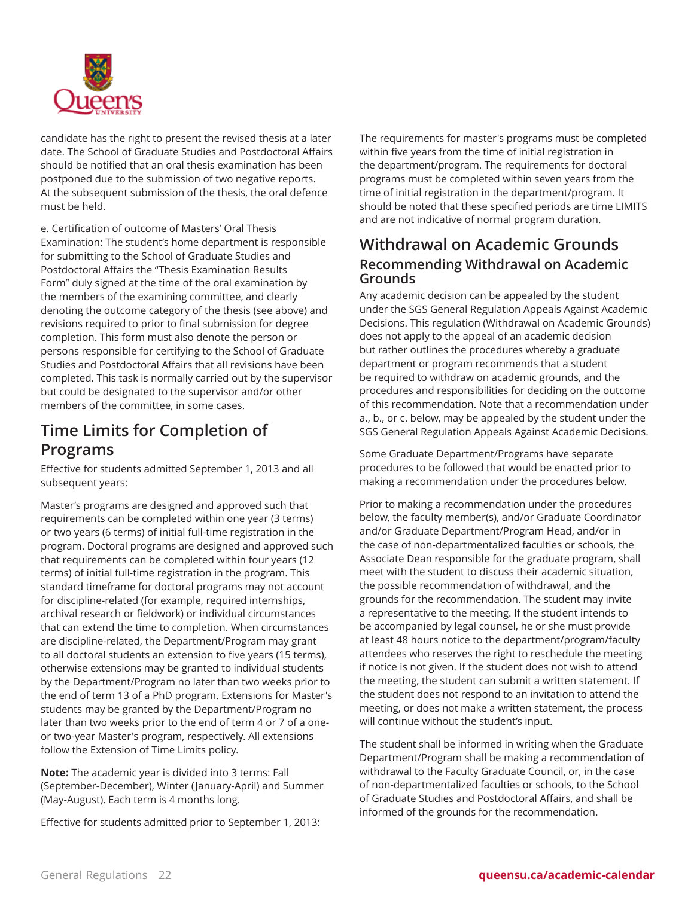

candidate has the right to present the revised thesis at a later date. The School of Graduate Studies and Postdoctoral Affairs should be notified that an oral thesis examination has been postponed due to the submission of two negative reports. At the subsequent submission of the thesis, the oral defence must be held.

e. Certification of outcome of Masters' Oral Thesis Examination: The student's home department is responsible for submitting to the School of Graduate Studies and Postdoctoral Affairs the "Thesis Examination Results Form" duly signed at the time of the oral examination by the members of the examining committee, and clearly denoting the outcome category of the thesis (see above) and revisions required to prior to final submission for degree completion. This form must also denote the person or persons responsible for certifying to the School of Graduate Studies and Postdoctoral Affairs that all revisions have been completed. This task is normally carried out by the supervisor but could be designated to the supervisor and/or other members of the committee, in some cases.

# **Time Limits for Completion of Programs**

Effective for students admitted September 1, 2013 and all subsequent years:

Master's programs are designed and approved such that requirements can be completed within one year (3 terms) or two years (6 terms) of initial full-time registration in the program. Doctoral programs are designed and approved such that requirements can be completed within four years (12 terms) of initial full-time registration in the program. This standard timeframe for doctoral programs may not account for discipline-related (for example, required internships, archival research or fieldwork) or individual circumstances that can extend the time to completion. When circumstances are discipline-related, the Department/Program may grant to all doctoral students an extension to five years (15 terms), otherwise extensions may be granted to individual students by the Department/Program no later than two weeks prior to the end of term 13 of a PhD program. Extensions for Master's students may be granted by the Department/Program no later than two weeks prior to the end of term 4 or 7 of a oneor two-year Master's program, respectively. All extensions follow the Extension of Time Limits policy.

**Note:** The academic year is divided into 3 terms: Fall (September-December), Winter (January-April) and Summer (May-August). Each term is 4 months long.

Effective for students admitted prior to September 1, 2013:

The requirements for master's programs must be completed within five years from the time of initial registration in the department/program. The requirements for doctoral programs must be completed within seven years from the time of initial registration in the department/program. It should be noted that these specified periods are time LIMITS and are not indicative of normal program duration.

### **Withdrawal on Academic Grounds Recommending Withdrawal on Academic Grounds**

Any academic decision can be appealed by the student under the SGS General Regulation Appeals Against Academic Decisions. This regulation (Withdrawal on Academic Grounds) does not apply to the appeal of an academic decision but rather outlines the procedures whereby a graduate department or program recommends that a student be required to withdraw on academic grounds, and the procedures and responsibilities for deciding on the outcome of this recommendation. Note that a recommendation under a., b., or c. below, may be appealed by the student under the SGS General Regulation Appeals Against Academic Decisions.

Some Graduate Department/Programs have separate procedures to be followed that would be enacted prior to making a recommendation under the procedures below.

Prior to making a recommendation under the procedures below, the faculty member(s), and/or Graduate Coordinator and/or Graduate Department/Program Head, and/or in the case of non-departmentalized faculties or schools, the Associate Dean responsible for the graduate program, shall meet with the student to discuss their academic situation, the possible recommendation of withdrawal, and the grounds for the recommendation. The student may invite a representative to the meeting. If the student intends to be accompanied by legal counsel, he or she must provide at least 48 hours notice to the department/program/faculty attendees who reserves the right to reschedule the meeting if notice is not given. If the student does not wish to attend the meeting, the student can submit a written statement. If the student does not respond to an invitation to attend the meeting, or does not make a written statement, the process will continue without the student's input.

The student shall be informed in writing when the Graduate Department/Program shall be making a recommendation of withdrawal to the Faculty Graduate Council, or, in the case of non-departmentalized faculties or schools, to the School of Graduate Studies and Postdoctoral Affairs, and shall be informed of the grounds for the recommendation.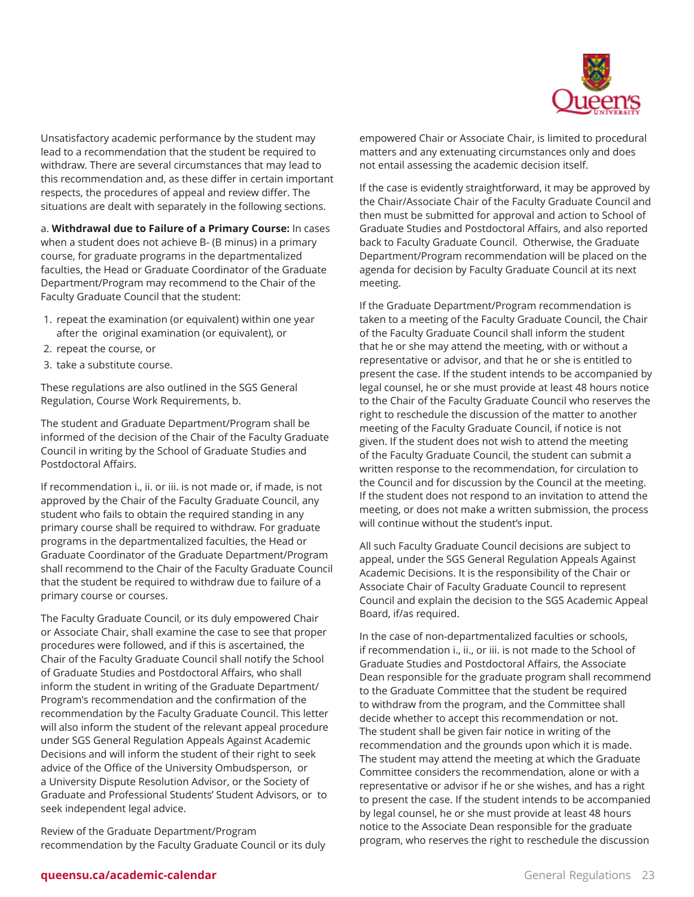

Unsatisfactory academic performance by the student may lead to a recommendation that the student be required to withdraw. There are several circumstances that may lead to this recommendation and, as these differ in certain important respects, the procedures of appeal and review differ. The situations are dealt with separately in the following sections.

a. **Withdrawal due to Failure of a Primary Course:** In cases when a student does not achieve B- (B minus) in a primary course, for graduate programs in the departmentalized faculties, the Head or Graduate Coordinator of the Graduate Department/Program may recommend to the Chair of the Faculty Graduate Council that the student:

- 1. repeat the examination (or equivalent) within one year after the original examination (or equivalent), or
- 2. repeat the course, or
- 3. take a substitute course.

These regulations are also outlined in the SGS General Regulation, Course Work Requirements, b.

The student and Graduate Department/Program shall be informed of the decision of the Chair of the Faculty Graduate Council in writing by the School of Graduate Studies and Postdoctoral Affairs.

If recommendation i., ii. or iii. is not made or, if made, is not approved by the Chair of the Faculty Graduate Council, any student who fails to obtain the required standing in any primary course shall be required to withdraw. For graduate programs in the departmentalized faculties, the Head or Graduate Coordinator of the Graduate Department/Program shall recommend to the Chair of the Faculty Graduate Council that the student be required to withdraw due to failure of a primary course or courses.

The Faculty Graduate Council, or its duly empowered Chair or Associate Chair, shall examine the case to see that proper procedures were followed, and if this is ascertained, the Chair of the Faculty Graduate Council shall notify the School of Graduate Studies and Postdoctoral Affairs, who shall inform the student in writing of the Graduate Department/ Program's recommendation and the confirmation of the recommendation by the Faculty Graduate Council. This letter will also inform the student of the relevant appeal procedure under SGS General Regulation Appeals Against Academic Decisions and will inform the student of their right to seek advice of the Office of the University Ombudsperson, or a University Dispute Resolution Advisor, or the Society of Graduate and Professional Students' Student Advisors, or to seek independent legal advice.

Review of the Graduate Department/Program recommendation by the Faculty Graduate Council or its duly empowered Chair or Associate Chair, is limited to procedural matters and any extenuating circumstances only and does not entail assessing the academic decision itself.

If the case is evidently straightforward, it may be approved by the Chair/Associate Chair of the Faculty Graduate Council and then must be submitted for approval and action to School of Graduate Studies and Postdoctoral Affairs, and also reported back to Faculty Graduate Council. Otherwise, the Graduate Department/Program recommendation will be placed on the agenda for decision by Faculty Graduate Council at its next meeting.

If the Graduate Department/Program recommendation is taken to a meeting of the Faculty Graduate Council, the Chair of the Faculty Graduate Council shall inform the student that he or she may attend the meeting, with or without a representative or advisor, and that he or she is entitled to present the case. If the student intends to be accompanied by legal counsel, he or she must provide at least 48 hours notice to the Chair of the Faculty Graduate Council who reserves the right to reschedule the discussion of the matter to another meeting of the Faculty Graduate Council, if notice is not given. If the student does not wish to attend the meeting of the Faculty Graduate Council, the student can submit a written response to the recommendation, for circulation to the Council and for discussion by the Council at the meeting. If the student does not respond to an invitation to attend the meeting, or does not make a written submission, the process will continue without the student's input.

All such Faculty Graduate Council decisions are subject to appeal, under the SGS General Regulation Appeals Against Academic Decisions. It is the responsibility of the Chair or Associate Chair of Faculty Graduate Council to represent Council and explain the decision to the SGS Academic Appeal Board, if/as required.

In the case of non-departmentalized faculties or schools, if recommendation i., ii., or iii. is not made to the School of Graduate Studies and Postdoctoral Affairs, the Associate Dean responsible for the graduate program shall recommend to the Graduate Committee that the student be required to withdraw from the program, and the Committee shall decide whether to accept this recommendation or not. The student shall be given fair notice in writing of the recommendation and the grounds upon which it is made. The student may attend the meeting at which the Graduate Committee considers the recommendation, alone or with a representative or advisor if he or she wishes, and has a right to present the case. If the student intends to be accompanied by legal counsel, he or she must provide at least 48 hours notice to the Associate Dean responsible for the graduate program, who reserves the right to reschedule the discussion

#### **queensu.ca/academic-calendar** General Regulations 23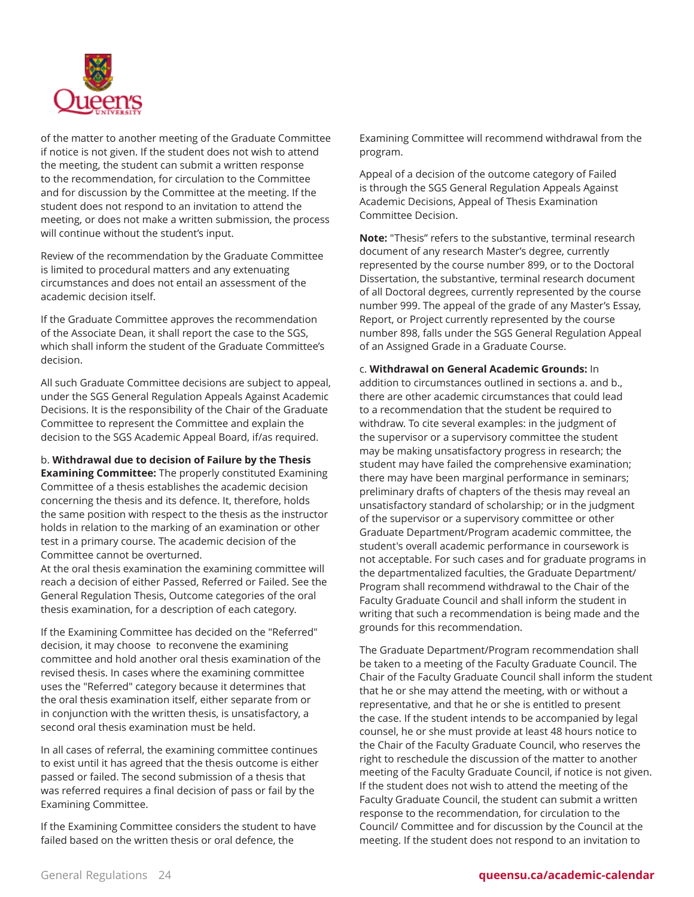

of the matter to another meeting of the Graduate Committee if notice is not given. If the student does not wish to attend the meeting, the student can submit a written response to the recommendation, for circulation to the Committee and for discussion by the Committee at the meeting. If the student does not respond to an invitation to attend the meeting, or does not make a written submission, the process will continue without the student's input.

Review of the recommendation by the Graduate Committee is limited to procedural matters and any extenuating circumstances and does not entail an assessment of the academic decision itself.

If the Graduate Committee approves the recommendation of the Associate Dean, it shall report the case to the SGS, which shall inform the student of the Graduate Committee's decision.

All such Graduate Committee decisions are subject to appeal, under the SGS General Regulation Appeals Against Academic Decisions. It is the responsibility of the Chair of the Graduate Committee to represent the Committee and explain the decision to the SGS Academic Appeal Board, if/as required.

b. **Withdrawal due to decision of Failure by the Thesis Examining Committee:** The properly constituted Examining Committee of a thesis establishes the academic decision concerning the thesis and its defence. It, therefore, holds the same position with respect to the thesis as the instructor holds in relation to the marking of an examination or other test in a primary course. The academic decision of the Committee cannot be overturned.

At the oral thesis examination the examining committee will reach a decision of either Passed, Referred or Failed. See the General Regulation Thesis, Outcome categories of the oral thesis examination, for a description of each category.

If the Examining Committee has decided on the "Referred" decision, it may choose to reconvene the examining committee and hold another oral thesis examination of the revised thesis. In cases where the examining committee uses the "Referred" category because it determines that the oral thesis examination itself, either separate from or in conjunction with the written thesis, is unsatisfactory, a second oral thesis examination must be held.

In all cases of referral, the examining committee continues to exist until it has agreed that the thesis outcome is either passed or failed. The second submission of a thesis that was referred requires a final decision of pass or fail by the Examining Committee.

If the Examining Committee considers the student to have failed based on the written thesis or oral defence, the

Examining Committee will recommend withdrawal from the program.

Appeal of a decision of the outcome category of Failed is through the SGS General Regulation Appeals Against Academic Decisions, Appeal of Thesis Examination Committee Decision.

**Note:** "Thesis" refers to the substantive, terminal research document of any research Master's degree, currently represented by the course number 899, or to the Doctoral Dissertation, the substantive, terminal research document of all Doctoral degrees, currently represented by the course number 999. The appeal of the grade of any Master's Essay, Report, or Project currently represented by the course number 898, falls under the SGS General Regulation Appeal of an Assigned Grade in a Graduate Course.

c. **Withdrawal on General Academic Grounds:** In addition to circumstances outlined in sections a. and b., there are other academic circumstances that could lead to a recommendation that the student be required to withdraw. To cite several examples: in the judgment of the supervisor or a supervisory committee the student may be making unsatisfactory progress in research; the student may have failed the comprehensive examination; there may have been marginal performance in seminars; preliminary drafts of chapters of the thesis may reveal an unsatisfactory standard of scholarship; or in the judgment of the supervisor or a supervisory committee or other Graduate Department/Program academic committee, the student's overall academic performance in coursework is not acceptable. For such cases and for graduate programs in the departmentalized faculties, the Graduate Department/ Program shall recommend withdrawal to the Chair of the Faculty Graduate Council and shall inform the student in writing that such a recommendation is being made and the grounds for this recommendation.

The Graduate Department/Program recommendation shall be taken to a meeting of the Faculty Graduate Council. The Chair of the Faculty Graduate Council shall inform the student that he or she may attend the meeting, with or without a representative, and that he or she is entitled to present the case. If the student intends to be accompanied by legal counsel, he or she must provide at least 48 hours notice to the Chair of the Faculty Graduate Council, who reserves the right to reschedule the discussion of the matter to another meeting of the Faculty Graduate Council, if notice is not given. If the student does not wish to attend the meeting of the Faculty Graduate Council, the student can submit a written response to the recommendation, for circulation to the Council/ Committee and for discussion by the Council at the meeting. If the student does not respond to an invitation to